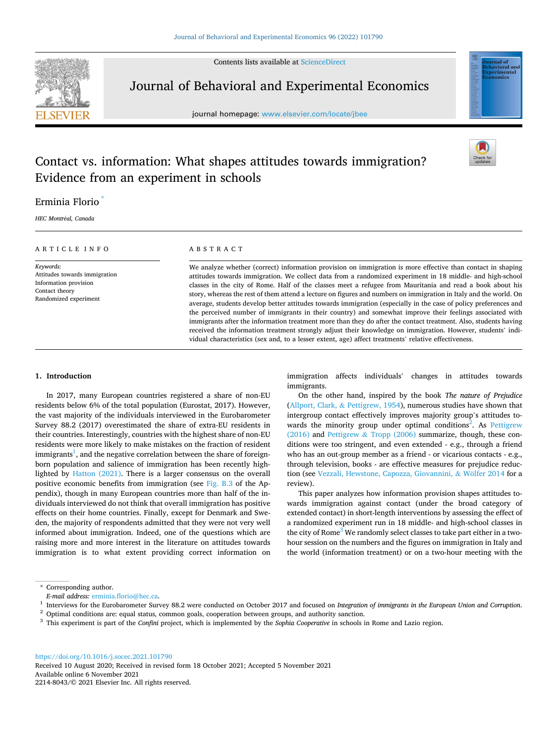Contents lists available at [ScienceDirect](www.sciencedirect.com/science/journal/22148043)



Journal of Behavioral and Experimental Economics

journal homepage: [www.elsevier.com/locate/jbee](https://www.elsevier.com/locate/jbee)



## Contact vs. information: What shapes attitudes towards immigration? Evidence from an experiment in schools

## Erminia Florio \*

*HEC Montr*´*eal, Canada* 

#### ARTICLE INFO

*Keywords:*  Attitudes towards immigration Information provision Contact theory Randomized experiment

## ABSTRACT

We analyze whether (correct) information provision on immigration is more effective than contact in shaping attitudes towards immigration. We collect data from a randomized experiment in 18 middle- and high-school classes in the city of Rome. Half of the classes meet a refugee from Mauritania and read a book about his story, whereas the rest of them attend a lecture on figures and numbers on immigration in Italy and the world. On average, students develop better attitudes towards immigration (especially in the case of policy preferences and the perceived number of immigrants in their country) and somewhat improve their feelings associated with immigrants after the information treatment more than they do after the contact treatment. Also, students having received the information treatment strongly adjust their knowledge on immigration. However, students' individual characteristics (sex and, to a lesser extent, age) affect treatments' relative effectiveness.

## **1. Introduction**

In 2017, many European countries registered a share of non-EU residents below 6% of the total population (Eurostat, 2017). However, the vast majority of the individuals interviewed in the Eurobarometer Survey 88.2 (2017) overestimated the share of extra-EU residents in their countries. Interestingly, countries with the highest share of non-EU residents were more likely to make mistakes on the fraction of resident immigrants $^{\rm l}$ , and the negative correlation between the share of foreignborn population and salience of immigration has been recently highlighted by [Hatton \(2021\)](#page-19-0). There is a larger consensus on the overall positive economic benefits from immigration (see [Fig. B.3](#page-18-0) of the Appendix), though in many European countries more than half of the individuals interviewed do not think that overall immigration has positive effects on their home countries. Finally, except for Denmark and Sweden, the majority of respondents admitted that they were not very well informed about immigration. Indeed, one of the questions which are raising more and more interest in the literature on attitudes towards immigration is to what extent providing correct information on immigration affects individuals' changes in attitudes towards immigrants.

On the other hand, inspired by the book *The nature of Prejudice*  (Allport, Clark, & [Pettigrew, 1954](#page-19-0)), numerous studies have shown that intergroup contact effectively improves majority group's attitudes towards the minority group under optimal conditions<sup>2</sup>. As Pettigrew [\(2016\)](#page-19-0) and Pettigrew & [Tropp \(2006\)](#page-19-0) summarize, though, these conditions were too stringent, and even extended - e.g., through a friend who has an out-group member as a friend - or vicarious contacts - e.g., through television, books - are effective measures for prejudice reduc-tion (see [Vezzali, Hewstone, Capozza, Giovannini,](#page-20-0) & Wölfer 2014 for a review).

This paper analyzes how information provision shapes attitudes towards immigration against contact (under the broad category of extended contact) in short-length interventions by assessing the effect of a randomized experiment run in 18 middle- and high-school classes in the city of Rome<sup>3</sup> We randomly select classes to take part either in a twohour session on the numbers and the figures on immigration in Italy and the world (information treatment) or on a two-hour meeting with the

<https://doi.org/10.1016/j.socec.2021.101790>

Available online 6 November 2021 2214-8043/© 2021 Elsevier Inc. All rights reserved. Received 10 August 2020; Received in revised form 18 October 2021; Accepted 5 November 2021

<sup>\*</sup> Corresponding author.

*E-mail address:* [erminia.florio@hec.ca.](mailto:erminia.florio@hec.ca)<br><sup>1</sup> Interviews for the Eurobarometer Survey 88.2 were conducted on October 2017 and focused on *Integration of immigrants in the European Union and Corruption*.<br><sup>2</sup> Optimal conditi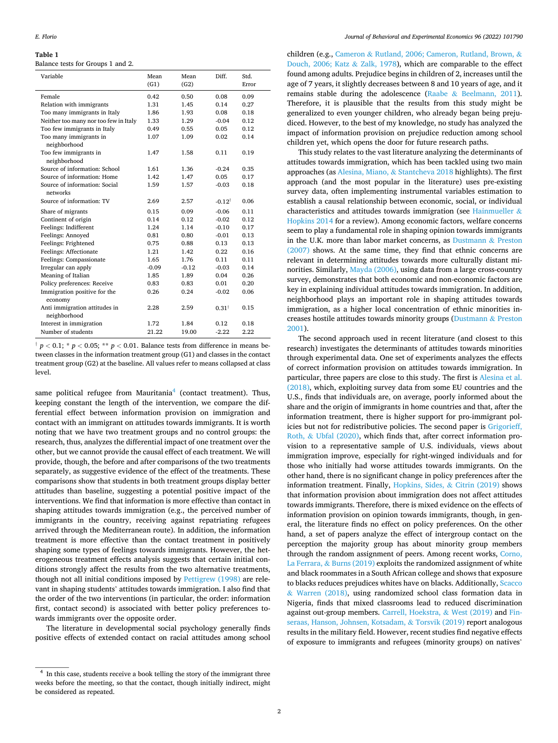<span id="page-1-0"></span>Balance tests for Groups 1 and 2.

| Variable                                      | Mean<br>(G1) | Mean<br>(G2) | Diff.             | Std.<br>Error |
|-----------------------------------------------|--------------|--------------|-------------------|---------------|
| Female                                        | 0.42         | 0.50         | 0.08              | 0.09          |
| Relation with immigrants                      | 1.31         | 1.45         | 0.14              | 0.27          |
| Too many immigrants in Italy                  | 1.86         | 1.93         | 0.08              | 0.18          |
| Neither too many nor too few in Italy         | 1.33         | 1.29         | $-0.04$           | 0.12          |
| Too few immigrants in Italy                   | 0.49         | 0.55         | 0.05              | 0.12          |
| Too many immigrants in<br>neighborhood        | 1.07         | 1.09         | 0.02              | 0.14          |
| Too few immigrants in<br>neighborhood         | 1.47         | 1.58         | 0.11              | 0.19          |
| Source of information: School                 | 1.61         | 1.36         | $-0.24$           | 0.35          |
| Source of information: Home                   | 1.42         | 1.47         | 0.05              | 0.17          |
| Source of information: Social<br>networks     | 1.59         | 1.57         | $-0.03$           | 0.18          |
| Source of information: TV                     | 2.69         | 2.57         | $-0.12^{\dagger}$ | 0.06          |
| Share of migrants                             | 0.15         | 0.09         | $-0.06$           | 0.11          |
| Continent of origin                           | 0.14         | 0.12         | $-0.02$           | 0.12          |
| Feelings: Indifferent                         | 1.24         | 1.14         | $-0.10$           | 0.17          |
| Feelings: Annoved                             | 0.81         | 0.80         | $-0.01$           | 0.13          |
| Feelings: Frightened                          | 0.75         | 0.88         | 0.13              | 0.13          |
| Feelings: Affectionate                        | 1.21         | 1.42         | 0.22              | 0.16          |
| Feelings: Compassionate                       | 1.65         | 1.76         | 0.11              | 0.11          |
| Irregular can apply                           | $-0.09$      | $-0.12$      | $-0.03$           | 0.14          |
| Meaning of Italian                            | 1.85         | 1.89         | 0.04              | 0.26          |
| Policy preferences: Receive                   | 0.83         | 0.83         | 0.01              | 0.20          |
| Immigration positive for the<br>economy       | 0.26         | 0.24         | $-0.02$           | 0.06          |
| Anti immigration attitudes in<br>neighborhood | 2.28         | 2.59         | $0.31^{\dagger}$  | 0.15          |
| Interest in immigration                       | 1.72         | 1.84         | 0.12              | 0.18          |
| Number of students                            | 21.22        | 19.00        | $-2.22$           | 2.22          |

 $\uparrow$  *p* < 0.1; \* *p* < 0.05; \*\* *p* < 0.01. Balance tests from difference in means between classes in the information treatment group (G1) and classes in the contact treatment group (G2) at the baseline. All values refer to means collapsed at class level.

same political refugee from Mauritania<sup>4</sup> (contact treatment). Thus, keeping constant the length of the intervention, we compare the differential effect between information provision on immigration and contact with an immigrant on attitudes towards immigrants. It is worth noting that we have two treatment groups and no control groups: the research, thus, analyzes the differential impact of one treatment over the other, but we cannot provide the causal effect of each treatment. We will provide, though, the before and after comparisons of the two treatments separately, as suggestive evidence of the effect of the treatments. These comparisons show that students in both treatment groups display better attitudes than baseline, suggesting a potential positive impact of the interventions. We find that information is more effective than contact in shaping attitudes towards immigration (e.g., the perceived number of immigrants in the country, receiving against repatriating refugees arrived through the Mediterranean route). In addition, the information treatment is more effective than the contact treatment in positively shaping some types of feelings towards immigrants. However, the heterogeneous treatment effects analysis suggests that certain initial conditions strongly affect the results from the two alternative treatments, though not all initial conditions imposed by [Pettigrew \(1998\)](#page-19-0) are relevant in shaping students' attitudes towards immigration. I also find that the order of the two interventions (in particular, the order: information first, contact second) is associated with better policy preferences towards immigrants over the opposite order.

The literature in developmental social psychology generally finds positive effects of extended contact on racial attitudes among school

children (e.g., Cameron & [Rutland, 2006; Cameron, Rutland, Brown,](#page-19-0) & [Douch, 2006; Katz](#page-19-0) & Zalk, 1978), which are comparable to the effect found among adults. Prejudice begins in children of 2, increases until the age of 7 years, it slightly decreases between 8 and 10 years of age, and it remains stable during the adolescence (Raabe & [Beelmann, 2011](#page-20-0)). Therefore, it is plausible that the results from this study might be generalized to even younger children, who already began being prejudiced. However, to the best of my knowledge, no study has analyzed the impact of information provision on prejudice reduction among school children yet, which opens the door for future research paths.

This study relates to the vast literature analyzing the determinants of attitudes towards immigration, which has been tackled using two main approaches (as Alesina, Miano, & [Stantcheva 2018](#page-19-0) highlights). The first approach (and the most popular in the literature) uses pre-existing survey data, often implementing instrumental variables estimation to establish a causal relationship between economic, social, or individual characteristics and attitudes towards immigration (see [Hainmueller](#page-19-0) & [Hopkins 2014](#page-19-0) for a review). Among economic factors, welfare concerns seem to play a fundamental role in shaping opinion towards immigrants in the U.K. more than labor market concerns, as [Dustmann](#page-19-0) & Preston [\(2007\)](#page-19-0) shows. At the same time, they find that ethnic concerns are relevant in determining attitudes towards more culturally distant minorities. Similarly, [Mayda \(2006\)](#page-19-0), using data from a large cross-country survey, demonstrates that both economic and non-economic factors are key in explaining individual attitudes towards immigration. In addition, neighborhood plays an important role in shaping attitudes towards immigration, as a higher local concentration of ethnic minorities increases hostile attitudes towards minority groups ([Dustmann](#page-19-0) & Preston [2001\)](#page-19-0).

The second approach used in recent literature (and closest to this research) investigates the determinants of attitudes towards minorities through experimental data. One set of experiments analyzes the effects of correct information provision on attitudes towards immigration. In particular, three papers are close to this study. The first is [Alesina et al.](#page-19-0)  [\(2018\),](#page-19-0) which, exploiting survey data from some EU countries and the U.S., finds that individuals are, on average, poorly informed about the share and the origin of immigrants in home countries and that, after the information treatment, there is higher support for pro-immigrant policies but not for redistributive policies. The second paper is [Grigorieff,](#page-19-0)  Roth, & [Ubfal \(2020\)](#page-19-0), which finds that, after correct information provision to a representative sample of U.S. individuals, views about immigration improve, especially for right-winged individuals and for those who initially had worse attitudes towards immigrants. On the other hand, there is no significant change in policy preferences after the information treatment. Finally, [Hopkins, Sides,](#page-19-0) & Citrin (2019) shows that information provision about immigration does not affect attitudes towards immigrants. Therefore, there is mixed evidence on the effects of information provision on opinion towards immigrants, though, in general, the literature finds no effect on policy preferences. On the other hand, a set of papers analyze the effect of intergroup contact on the perception the majority group has about minority group members through the random assignment of peers. Among recent works, [Corno,](#page-19-0)  La Ferrara, & [Burns \(2019\)](#page-19-0) exploits the randomized assignment of white and black roommates in a South African college and shows that exposure to blacks reduces prejudices whites have on blacks. Additionally, [Scacco](#page-20-0)  & [Warren \(2018\),](#page-20-0) using randomized school class formation data in Nigeria, finds that mixed classrooms lead to reduced discrimination against out-group members. [Carrell, Hoekstra,](#page-19-0) & West (2019) and [Fin](#page-19-0)[seraas, Hanson, Johnsen, Kotsadam,](#page-19-0) & Torsvik (2019) report analogous results in the military field. However, recent studies find negative effects of exposure to immigrants and refugees (minority groups) on natives'

 $^4\,$  In this case, students receive a book telling the story of the immigrant three weeks before the meeting, so that the contact, though initially indirect, might be considered as repeated.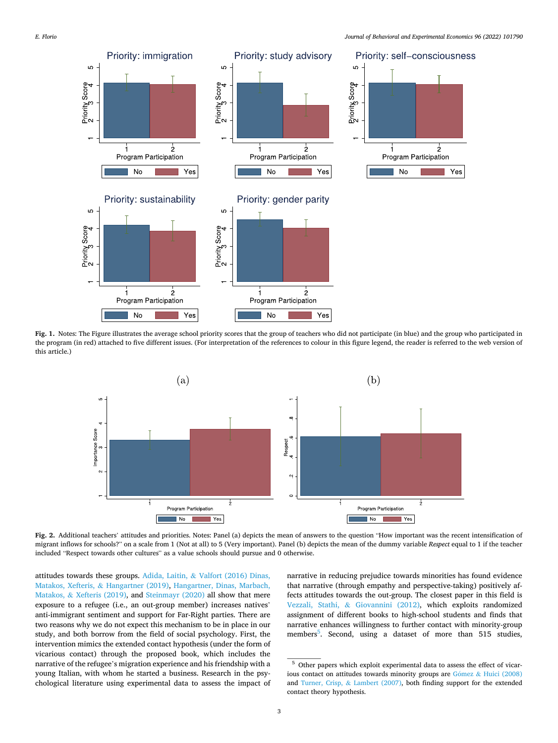<span id="page-2-0"></span>

**Fig. 1.** Notes: The Figure illustrates the average school priority scores that the group of teachers who did not participate (in blue) and the group who participated in the program (in red) attached to five different issues. (For interpretation of the references to colour in this figure legend, the reader is referred to the web version of this article.)



**Fig. 2.** Additional teachers' attitudes and priorities. Notes: Panel (a) depicts the mean of answers to the question "How important was the recent intensification of migrant inflows for schools?" on a scale from 1 (Not at all) to 5 (Very important). Panel (b) depicts the mean of the dummy variable *Respect* equal to 1 if the teacher included "Respect towards other cultures" as a value schools should pursue and 0 otherwise.

attitudes towards these groups. Adida, Laitin, & [Valfort \(2016\) Dinas,](#page-19-0)  Matakos, Xefteris, & [Hangartner \(2019\)](#page-19-0), [Hangartner, Dinas, Marbach,](#page-19-0)  Matakos, & [Xefteris \(2019\),](#page-19-0) and [Steinmayr \(2020\)](#page-20-0) all show that mere exposure to a refugee (i.e., an out-group member) increases natives' anti-immigrant sentiment and support for Far-Right parties. There are two reasons why we do not expect this mechanism to be in place in our study, and both borrow from the field of social psychology. First, the intervention mimics the extended contact hypothesis (under the form of vicarious contact) through the proposed book, which includes the narrative of the refugee's migration experience and his friendship with a young Italian, with whom he started a business. Research in the psychological literature using experimental data to assess the impact of

narrative in reducing prejudice towards minorities has found evidence that narrative (through empathy and perspective-taking) positively affects attitudes towards the out-group. The closest paper in this field is Vezzali, Stathi, & [Giovannini \(2012\)](#page-20-0), which exploits randomized assignment of different books to high-school students and finds that narrative enhances willingness to further contact with minority-group members<sup>5</sup>. Second, using a dataset of more than 515 studies,

<sup>5</sup> Other papers which exploit experimental data to assess the effect of vicarious contact on attitudes towards minority groups are  $G$ ómez & Huici (2008) and Turner, Crisp, & [Lambert \(2007\),](#page-20-0) both finding support for the extended contact theory hypothesis.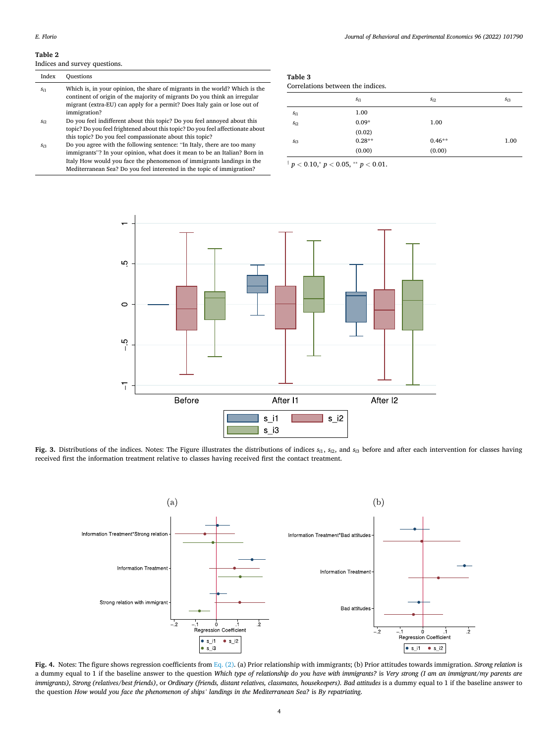<span id="page-3-0"></span>Indices and survey questions.

| Index    | <b>Ouestions</b>                                                                                                                                                                                                                                      |
|----------|-------------------------------------------------------------------------------------------------------------------------------------------------------------------------------------------------------------------------------------------------------|
| $s_{i1}$ | Which is, in your opinion, the share of migrants in the world? Which is the<br>continent of origin of the majority of migrants Do you think an irregular<br>migrant (extra-EU) can apply for a permit? Does Italy gain or lose out of<br>immigration? |

- *si*2 Do you feel indifferent about this topic? Do you feel annoyed about this topic? Do you feel frightened about this topic? Do you feel affectionate about this topic? Do you feel compassionate about this topic?
- *si*3 Do you agree with the following sentence: "In Italy, there are too many immigrants"? In your opinion, what does it mean to be an Italian? Born in Italy How would you face the phenomenon of immigrants landings in the Mediterranean Sea? Do you feel interested in the topic of immigration?

# **Table 3**

| Correlations between the indices. |  |  |  |
|-----------------------------------|--|--|--|
|-----------------------------------|--|--|--|

|          | $s_{i1}$ | $s_{i2}$ | $S_{i3}$ |
|----------|----------|----------|----------|
| $s_{i1}$ | 1.00     |          |          |
| $S_{i2}$ | $0.09*$  | 1.00     |          |
|          | (0.02)   |          |          |
| $S_{i3}$ | $0.28**$ | $0.46**$ | 1.00     |
|          | (0.00)   | (0.00)   |          |

 $\frac{1}{p}$   $p$   $<$  0.10, $\frac{1}{p}$   $<$  0.05,  $\frac{1}{p}$   $<$  0.01.



Fig. 3. Distributions of the indices. Notes: The Figure illustrates the distributions of indices  $s_{i1}$ ,  $s_{i2}$ , and  $s_{i3}$  before and after each intervention for classes having received first the information treatment relative to classes having received first the contact treatment.



**Fig. 4.** Notes: The figure shows regression coefficients from [Eq. \(2\).](#page-8-0) (a) Prior relationship with immigrants; (b) Prior attitudes towards immigration. *Strong relation* is a dummy equal to 1 if the baseline answer to the question *Which type of relationship do you have with immigrants?* is *Very strong (I am an immigrant/my parents are*  immigrants), Strong (relatives/best friends), or Ordinary (friends, distant relatives, classmates, housekeepers). Bad attitudes is a dummy equal to 1 if the baseline answer to the question *How would you face the phenomenon of ships' landings in the Mediterranean Sea?* is *By repatriating*.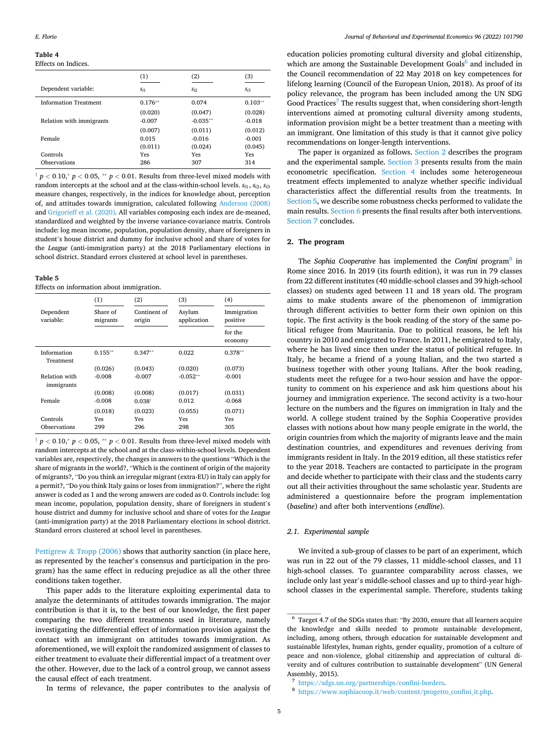<span id="page-4-0"></span>Effects on Indices.

|                              | (1)       | (2)        | (3)       |
|------------------------------|-----------|------------|-----------|
| Dependent variable:          | $S_{i1}$  | Si2        | $S_{i3}$  |
| <b>Information Treatment</b> | $0.176**$ | 0.074      | $0.103**$ |
|                              | (0.020)   | (0.047)    | (0.028)   |
| Relation with immigrants     | $-0.007$  | $-0.035**$ | $-0.018$  |
|                              | (0.007)   | (0.011)    | (0.012)   |
| Female                       | 0.015     | $-0.016$   | $-0.001$  |
|                              | (0.011)   | (0.024)    | (0.045)   |
| Controls                     | Yes       | Yes        | Yes       |
| Observations                 | 286       | 307        | 314       |
|                              |           |            |           |

 $\frac{1}{p}$  *p* < 0.10,\* *p* < 0.05, \*\* *p* < 0.01. Results from three-level mixed models with random intercepts at the school and at the class-within-school levels.  $s_{i1}$ ,  $s_{i2}$ ,  $s_{i3}$ measure changes, respectively, in the indices for knowledge about, perception of, and attitudes towards immigration, calculated following [Anderson \(2008\)](#page-19-0)  and [Grigorieff et al. \(2020\).](#page-19-0) All variables composing each index are de-meaned, standardized and weighted by the inverse variance-covariance matrix. Controls include: log mean income, population, population density, share of foreigners in student's house district and dummy for inclusive school and share of votes for the *League* (anti-immigration party) at the 2018 Parliamentary elections in school district. Standard errors clustered at school level in parentheses.

#### **Table 5**

Effects on information about immigration.

|                             | (1)                  | (2)                    | (3)                   | (4)                     |
|-----------------------------|----------------------|------------------------|-----------------------|-------------------------|
| Dependent<br>variable:      | Share of<br>migrants | Continent of<br>origin | Asylum<br>application | Immigration<br>positive |
|                             |                      |                        |                       | for the<br>economy      |
| Information<br>Treatment    | $0.155***$           | $0.347**$              | 0.022                 | $0.378**$               |
|                             | (0.026)              | (0.043)                | (0.020)               | (0.073)                 |
| Relation with<br>immigrants | $-0.008$             | $-0.007$               | $-0.052**$            | $-0.001$                |
|                             | (0.008)              | (0.008)                | (0.017)               | (0.031)                 |
| Female                      | $-0.008$             | $0.038^{\dagger}$      | 0.012                 | $-0.068$                |
|                             | (0.018)              | (0.023)                | (0.055)               | (0.071)                 |
| Controls                    | Yes                  | Yes                    | Yes                   | Yes                     |
| Observations                | 299                  | 296                    | 298                   | 305                     |

 $\frac{f}{f}$  *p* < 0.10, $\frac{f}{f}$  *p* < 0.05,  $\frac{f}{f}$  *p* < 0.01. Results from three-level mixed models with random intercepts at the school and at the class-within-school levels. Dependent variables are, respectively, the changes in answers to the questions "Which is the share of migrants in the world?, "Which is the continent of origin of the majority of migrants?, "Do you think an irregular migrant (extra-EU) in Italy can apply for a permit?, "Do you think Italy gains or loses from immigration?", where the right answer is coded as 1 and the wrong answers are coded as 0. Controls include: log mean income, population, population density, share of foreigners in student's house district and dummy for inclusive school and share of votes for the *League*  (anti-immigration party) at the 2018 Parliamentary elections in school district. Standard errors clustered at school level in parentheses.

Pettigrew & [Tropp \(2006\)](#page-19-0) shows that authority sanction (in place here, as represented by the teacher's consensus and participation in the program) has the same effect in reducing prejudice as all the other three conditions taken together.

This paper adds to the literature exploiting experimental data to analyze the determinants of attitudes towards immigration. The major contribution is that it is, to the best of our knowledge, the first paper comparing the two different treatments used in literature, namely investigating the differential effect of information provision against the contact with an immigrant on attitudes towards immigration. As aforementioned, we will exploit the randomized assignment of classes to either treatment to evaluate their differential impact of a treatment over the other. However, due to the lack of a control group, we cannot assess the causal effect of each treatment.

education policies promoting cultural diversity and global citizenship, which are among the Sustainable Development Goals<sup>6</sup> and included in the Council recommendation of 22 May 2018 on key competences for lifelong learning (Council of the European Union, 2018). As proof of its policy relevance, the program has been included among the UN SDG Good Practices<sup>7</sup> The results suggest that, when considering short-length interventions aimed at promoting cultural diversity among students, information provision might be a better treatment than a meeting with an immigrant. One limitation of this study is that it cannot give policy recommendations on longer-length interventions.

The paper is organized as follows. Section 2 describes the program and the experimental sample. [Section 3](#page-6-0) presents results from the main econometric specification. [Section 4](#page-8-0) includes some heterogeneous treatment effects implemented to analyze whether specific individual characteristics affect the differential results from the treatments. In [Section 5,](#page-9-0) we describe some robustness checks performed to validate the main results. [Section 6](#page-9-0) presents the final results after both interventions. [Section 7](#page-10-0) concludes.

#### **2. The program**

The *Sophia Cooperative* has implemented the *Confini* program8 in Rome since 2016. In 2019 (its fourth edition), it was run in 79 classes from 22 different institutes (40 middle-school classes and 39 high-school classes) on students aged between 11 and 18 years old. The program aims to make students aware of the phenomenon of immigration through different activities to better form their own opinion on this topic. The first activity is the book reading of the story of the same political refugee from Mauritania. Due to political reasons, he left his country in 2010 and emigrated to France. In 2011, he emigrated to Italy, where he has lived since then under the status of political refugee. In Italy, he became a friend of a young Italian, and the two started a business together with other young Italians. After the book reading, students meet the refugee for a two-hour session and have the opportunity to comment on his experience and ask him questions about his journey and immigration experience. The second activity is a two-hour lecture on the numbers and the figures on immigration in Italy and the world. A college student trained by the Sophia Cooperative provides classes with notions about how many people emigrate in the world, the origin countries from which the majority of migrants leave and the main destination countries, and expenditures and revenues deriving from immigrants resident in Italy. In the 2019 edition, all these statistics refer to the year 2018. Teachers are contacted to participate in the program and decide whether to participate with their class and the students carry out all their activities throughout the same scholastic year. Students are administered a questionnaire before the program implementation (*baseline*) and after both interventions (*endline*).

### *2.1. Experimental sample*

We invited a sub-group of classes to be part of an experiment, which was run in 22 out of the 79 classes, 11 middle-school classes, and 11 high-school classes. To guarantee comparability across classes, we include only last year's middle-school classes and up to third-year highschool classes in the experimental sample. Therefore, students taking

<sup>6</sup> Target 4.7 of the SDGs states that: "By 2030, ensure that all learners acquire the knowledge and skills needed to promote sustainable development, including, among others, through education for sustainable development and sustainable lifestyles, human rights, gender equality, promotion of a culture of peace and non-violence, global citizenship and appreciation of cultural diversity and of cultures contribution to sustainable development" (UN General Assembly, 2015). 7 <https://sdgs.un.org/partnerships/confini-borders>. 8 [https://www.sophiacoop.it/web/content/progetto\\_confini\\_it.php.](https://www.sophiacoop.it/web/content/progetto_confini_it.php)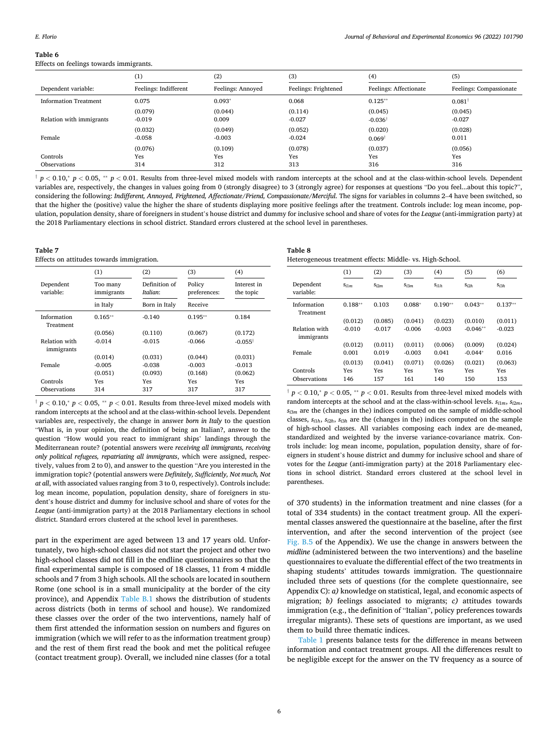#### <span id="page-5-0"></span>**Table 6**  Effects on feelings towards immigrants.

|                              | $_{\left(1\right)}$   | (2)                   | (3)                   | (4)                           | (5)                     |
|------------------------------|-----------------------|-----------------------|-----------------------|-------------------------------|-------------------------|
| Dependent variable:          | Feelings: Indifferent | Feelings: Annoyed     | Feelings: Frightened  | Feelings: Affectionate        | Feelings: Compassionate |
| <b>Information Treatment</b> | 0.075                 | $0.093*$              | 0.068                 | $0.125***$                    | $0.081^{\dagger}$       |
| Relation with immigrants     | (0.079)<br>$-0.019$   | (0.044)<br>0.009      | (0.114)<br>$-0.027$   | (0.045)<br>$-0.036^{\dagger}$ | (0.045)<br>$-0.027$     |
| Female                       | (0.032)<br>$-0.058$   | (0.049)<br>$-0.003$   | (0.052)<br>$-0.024$   | (0.020)<br>$0.069^{\dagger}$  | (0.028)<br>0.011        |
| Controls<br>Observations     | (0.076)<br>Yes<br>314 | (0.109)<br>Yes<br>312 | (0.078)<br>Yes<br>313 | (0.037)<br>Yes<br>316         | (0.056)<br>Yes<br>316   |

† *p <* 0*.*10,<sup>∗</sup> *p <* 0*.*05, ∗∗ *p <* 0*.*01. Results from three-level mixed models with random intercepts at the school and at the class-within-school levels. Dependent variables are, respectively, the changes in values going from 0 (strongly disagree) to 3 (strongly agree) for responses at questions "Do you feel...about this topic?", considering the following: *Indifferent, Annoyed, Frightened, Affectionate/Friend, Compassionate/Merciful*. The signs for variables in columns 2–4 have been switched, so that the higher the (positive) value the higher the share of students displaying more positive feelings after the treatment. Controls include: log mean income, population, population density, share of foreigners in student's house district and dummy for inclusive school and share of votes for the *League* (anti-immigration party) at the 2018 Parliamentary elections in school district. Standard errors clustered at the school level in parentheses.

#### **Table 7**

Effects on attitudes towards immigration.

|                             | (1)                    | (2)                       | (3)                    | (4)                      |
|-----------------------------|------------------------|---------------------------|------------------------|--------------------------|
| Dependent<br>variable:      | Too many<br>immigrants | Definition of<br>Italian: | Policy<br>preferences: | Interest in<br>the topic |
|                             | in Italy               | Born in Italy             | Receive                |                          |
| Information<br>Treatment    | $0.165**$              | $-0.140$                  | $0.195**$              | 0.184                    |
|                             | (0.056)                | (0.110)                   | (0.067)                | (0.172)                  |
| Relation with<br>immigrants | $-0.014$               | $-0.015$                  | $-0.066$               | $-0.055^{\dagger}$       |
|                             | (0.014)                | (0.031)                   | (0.044)                | (0.031)                  |
| Female                      | $-0.005$               | $-0.038$                  | $-0.003$               | $-0.013$                 |
|                             | (0.051)                | (0.093)                   | (0.168)                | (0.062)                  |
| Controls                    | Yes                    | Yes                       | Yes                    | Yes                      |
| Observations                | 314                    | 317                       | 317                    | 317                      |

† *p <* 0*.*10,<sup>∗</sup> *p <* 0*.*05, ∗∗ *p <* 0*.*01. Results from three-level mixed models with random intercepts at the school and at the class-within-school levels. Dependent variables are, respectively, the change in answer *born in Italy* to the question "What is, in your opinion, the definition of being an Italian?, answer to the question "How would you react to immigrant ships' landings through the Mediterranean route? (potential answers were *receiving all immigrants, receiving only political refugees, repatriating all immigrants*, which were assigned, respectively, values from 2 to 0), and answer to the question "Are you interested in the immigration topic? (potential answers were *Definitely, Sufficiently, Not much, Not at all*, with associated values ranging from 3 to 0, respectively). Controls include: log mean income, population, population density, share of foreigners in student's house district and dummy for inclusive school and share of votes for the *League* (anti-immigration party) at the 2018 Parliamentary elections in school district. Standard errors clustered at the school level in parentheses.

part in the experiment are aged between 13 and 17 years old. Unfortunately, two high-school classes did not start the project and other two high-school classes did not fill in the endline questionnaires so that the final experimental sample is composed of 18 classes, 11 from 4 middle schools and 7 from 3 high schools. All the schools are located in southern Rome (one school is in a small municipality at the border of the city province), and Appendix [Table B.1](#page-11-0) shows the distribution of students across districts (both in terms of school and house). We randomized these classes over the order of the two interventions, namely half of them first attended the information session on numbers and figures on immigration (which we will refer to as the information treatment group) and the rest of them first read the book and met the political refugee (contact treatment group). Overall, we included nine classes (for a total

| Table |  |  |
|-------|--|--|
|-------|--|--|

| Heterogeneous treatment effects: Middle- vs. High-School. |  |  |  |
|-----------------------------------------------------------|--|--|--|
|-----------------------------------------------------------|--|--|--|

|                             | (1)       | (2)              | (3)              | (4)       | (5)        | (6)       |
|-----------------------------|-----------|------------------|------------------|-----------|------------|-----------|
| Dependent<br>variable:      | $S_{i1m}$ | S <sub>i2m</sub> | S <sub>i3m</sub> | $S_{i1h}$ | $S_{i2h}$  | $S_{i3h}$ |
| Information<br>Treatment    | $0.188**$ | 0.103            | $0.088*$         | $0.190**$ | $0.043**$  | $0.137**$ |
|                             | (0.012)   | (0.085)          | (0.041)          | (0.023)   | (0.010)    | (0.011)   |
| Relation with<br>immigrants | $-0.010$  | $-0.017$         | $-0.006$         | $-0.003$  | $-0.046**$ | $-0.023$  |
|                             | (0.012)   | (0.011)          | (0.011)          | (0.006)   | (0.009)    | (0.024)   |
| Female                      | 0.001     | 0.019            | $-0.003$         | 0.041     | $-0.044*$  | 0.016     |
|                             | (0.013)   | (0.041)          | (0.071)          | (0.026)   | (0.021)    | (0.063)   |
| Controls                    | Yes       | Yes              | Yes              | Yes       | Yes        | Yes       |
| Observations                | 146       | 157              | 161              | 140       | 150        | 153       |

† *p <* 0*.*10,<sup>∗</sup> *p <* 0*.*05, ∗∗ *p <* 0*.*01. Results from three-level mixed models with random intercepts at the school and at the class-within-school levels.  $s_{i1m}$ ,  $s_{i2m}$ ,  $s_{i3m}$  are the (changes in the) indices computed on the sample of middle-school classes, *si*1*h*, *si*2*h*, *si*3*h* are the (changes in the) indices computed on the sample of high-school classes. All variables composing each index are de-meaned, standardized and weighted by the inverse variance-covariance matrix. Controls include: log mean income, population, population density, share of foreigners in student's house district and dummy for inclusive school and share of votes for the *League* (anti-immigration party) at the 2018 Parliamentary elections in school district. Standard errors clustered at the school level in parentheses.

of 370 students) in the information treatment and nine classes (for a total of 334 students) in the contact treatment group. All the experimental classes answered the questionnaire at the baseline, after the first intervention, and after the second intervention of the project (see [Fig. B.5](#page-19-0) of the Appendix). We use the change in answers between the *midline* (administered between the two interventions) and the baseline questionnaires to evaluate the differential effect of the two treatments in shaping students' attitudes towards immigration. The questionnaire included three sets of questions (for the complete questionnaire, see Appendix C): *a)* knowledge on statistical, legal, and economic aspects of migration; *b)* feelings associated to migrants; *c)* attitudes towards immigration (e.g., the definition of "Italian", policy preferences towards irregular migrants). These sets of questions are important, as we used them to build three thematic indices.

[Table 1](#page-1-0) presents balance tests for the difference in means between information and contact treatment groups. All the differences result to be negligible except for the answer on the TV frequency as a source of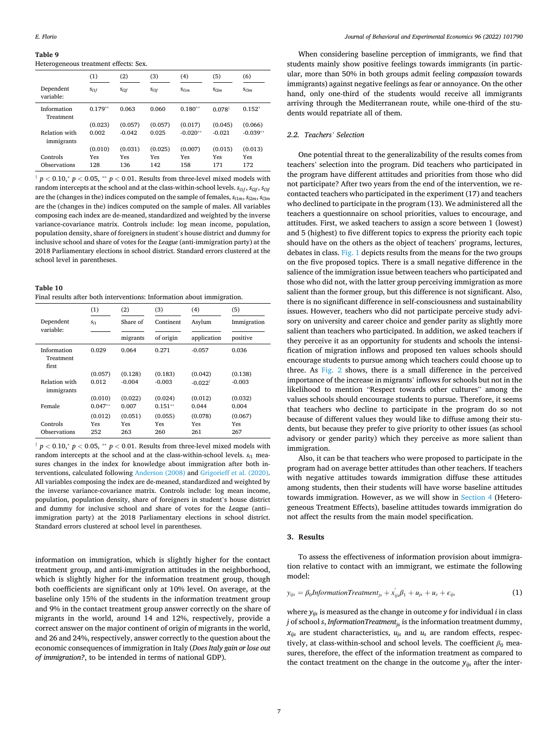<span id="page-6-0"></span>Heterogeneous treatment effects: Sex.

|                             | (1)        | (2)        | (3)        | (4)        | (5)                  | (6)              |
|-----------------------------|------------|------------|------------|------------|----------------------|------------------|
| Dependent<br>variable:      | $S_{i1f}$  | $S_{i2f}$  | $S_{i3f}$  | $S_{i1m}$  | S <sub>i2m</sub>     | S <sub>i3m</sub> |
| Information<br>Treatment    | $0.179**$  | 0.063      | 0.060      | $0.180**$  | $0.078$ <sup>t</sup> | $0.152*$         |
|                             | (0.023)    | (0.057)    | (0.057)    | (0.017)    | (0.045)              | (0.066)          |
| Relation with<br>immigrants | 0.002      | $-0.042$   | 0.025      | $-0.020**$ | $-0.021$             | $-0.039**$       |
|                             | (0.010)    | (0.031)    | (0.025)    | (0.007)    | (0.015)              | (0.013)          |
| Controls<br>Observations    | Yes<br>128 | Yes<br>136 | Yes<br>142 | Yes<br>158 | Yes<br>171           | Yes<br>172       |

 $\frac{1}{p}$  *p* < 0.10, $\frac{1}{p}$  *p* < 0.05,  $\frac{1}{p}$  *p* < 0.01. Results from three-level mixed models with random intercepts at the school and at the class-within-school levels. *si*1*<sup>f</sup>* , *si*2*<sup>f</sup>* , *si*3*<sup>f</sup>* are the (changes in the) indices computed on the sample of females,  $s_{i1m}$ ,  $s_{i2m}$ ,  $s_{i3m}$ are the (changes in the) indices computed on the sample of males. All variables composing each index are de-meaned, standardized and weighted by the inverse variance-covariance matrix. Controls include: log mean income, population, population density, share of foreigners in student's house district and dummy for inclusive school and share of votes for the *League* (anti-immigration party) at the 2018 Parliamentary elections in school district. Standard errors clustered at the school level in parentheses.

#### **Table 10**  Final results after both interventions: Information about immigration.

|                                   | (1)       | (2)      | (3)       | (4)                | (5)         |
|-----------------------------------|-----------|----------|-----------|--------------------|-------------|
| Dependent                         | $S_{i1}$  | Share of | Continent | Asylum             | Immigration |
| variable:                         |           | migrants | of origin | application        | positive    |
| Information<br>Treatment<br>first | 0.029     | 0.064    | 0.271     | $-0.057$           | 0.036       |
|                                   | (0.057)   | (0.128)  | (0.183)   | (0.042)            | (0.138)     |
| Relation with<br>immigrants       | 0.012     | $-0.004$ | $-0.003$  | $-0.022^{\dagger}$ | $-0.003$    |
|                                   | (0.010)   | (0.022)  | (0.024)   | (0.012)            | (0.032)     |
| Female                            | $0.047**$ | 0.007    | $0.151**$ | 0.044              | 0.004       |
|                                   | (0.012)   | (0.051)  | (0.055)   | (0.078)            | (0.067)     |
| Controls                          | Yes       | Yes      | Yes       | Yes                | Yes         |
| Observations                      | 252       | 263      | 260       | 261                | 267         |

† *p <* 0*.*10,<sup>∗</sup> *p <* 0*.*05, ∗∗ *p <* 0*.*01. Results from three-level mixed models with random intercepts at the school and at the class-within-school levels.  $s_{i1}$  measures changes in the index for knowledge about immigration after both interventions, calculated following [Anderson \(2008\)](#page-19-0) and [Grigorieff et al. \(2020\).](#page-19-0) All variables composing the index are de-meaned, standardized and weighted by the inverse variance-covariance matrix. Controls include: log mean income, population, population density, share of foreigners in student's house district and dummy for inclusive school and share of votes for the *League* (anti-immigration party) at the 2018 Parliamentary elections in school district. Standard errors clustered at school level in parentheses.

information on immigration, which is slightly higher for the contact treatment group, and anti-immigration attitudes in the neighborhood, which is slightly higher for the information treatment group, though both coefficients are significant only at 10% level. On average, at the baseline only 15% of the students in the information treatment group and 9% in the contact treatment group answer correctly on the share of migrants in the world, around 14 and 12%, respectively, provide a correct answer on the major continent of origin of migrants in the world, and 26 and 24%, respectively, answer correctly to the question about the economic consequences of immigration in Italy (*Does Italy gain or lose out of immigration?*, to be intended in terms of national GDP).

When considering baseline perception of immigrants, we find that students mainly show positive feelings towards immigrants (in particular, more than 50% in both groups admit feeling *compassion* towards immigrants) against negative feelings as fear or annoyance. On the other hand, only one-third of the students would receive all immigrants arriving through the Mediterranean route, while one-third of the students would repatriate all of them.

## *2.2. Teachers' Selection*

One potential threat to the generalizability of the results comes from teachers' selection into the program. Did teachers who participated in the program have different attitudes and priorities from those who did not participate? After two years from the end of the intervention, we recontacted teachers who participated in the experiment (17) and teachers who declined to participate in the program (13). We administered all the teachers a questionnaire on school priorities, values to encourage, and attitudes. First, we asked teachers to assign a score between 1 (lowest) and 5 (highest) to five different topics to express the priority each topic should have on the others as the object of teachers' programs, lectures, debates in class. [Fig. 1](#page-2-0) depicts results from the means for the two groups on the five proposed topics. There is a small negative difference in the salience of the immigration issue between teachers who participated and those who did not, with the latter group perceiving immigration as more salient than the former group, but this difference is not significant. Also, there is no significant difference in self-consciousness and sustainability issues. However, teachers who did not participate perceive study advisory on university and career choice and gender parity as slightly more salient than teachers who participated. In addition, we asked teachers if they perceive it as an opportunity for students and schools the intensification of migration inflows and proposed ten values schools should encourage students to pursue among which teachers could choose up to three. As [Fig. 2](#page-2-0) shows, there is a small difference in the perceived importance of the increase in migrants' inflows for schools but not in the likelihood to mention "Respect towards other cultures" among the values schools should encourage students to pursue. Therefore, it seems that teachers who decline to participate in the program do so not because of different values they would like to diffuse among their students, but because they prefer to give priority to other issues (as school advisory or gender parity) which they perceive as more salient than immigration.

Also, it can be that teachers who were proposed to participate in the program had on average better attitudes than other teachers. If teachers with negative attitudes towards immigration diffuse these attitudes among students, then their students will have worse baseline attitudes towards immigration. However, as we will show in [Section 4](#page-8-0) (Heterogeneous Treatment Effects), baseline attitudes towards immigration do not affect the results from the main model specification.

## **3. Results**

To assess the effectiveness of information provision about immigration relative to contact with an immigrant, we estimate the following model:

$$
y_{ijs} = \beta_0 Information Treatment_{js} + x'_{ijs}\beta_1 + u_{js} + u_s + \epsilon_{ijs}
$$
 (1)

where *yijs* is measured as the change in outcome *y* for individual *i* in class *j* of school *s*, *InformationTreatment*<sub>is</sub> is the information treatment dummy,  $x_{ijs}$  are student characteristics,  $u_{is}$  and  $u_s$  are random effects, respectively, at class-within-school and school levels. The coefficient  $\beta_0$  measures, therefore, the effect of the information treatment as compared to the contact treatment on the change in the outcome  $y_{ijs}$  after the inter-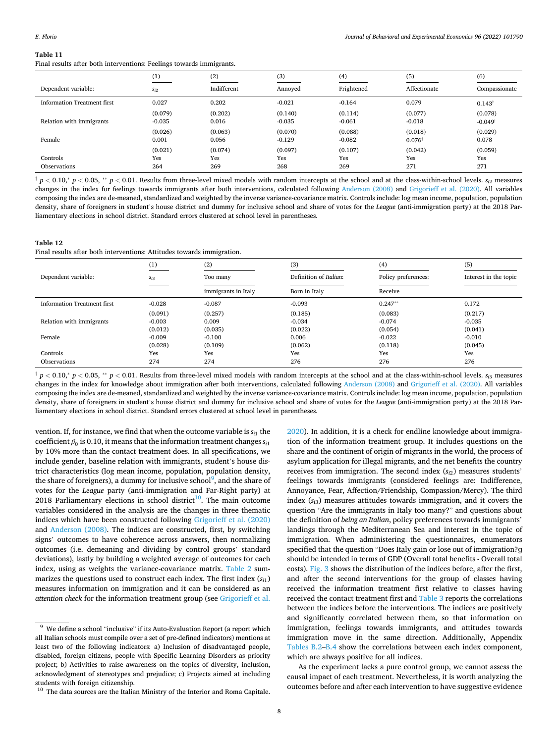<span id="page-7-0"></span>Final results after both interventions: Feelings towards immigrants.

|                             | (1)                   | (2)                   | (3)                   | (4)                   | (5)                          | (6)                              |
|-----------------------------|-----------------------|-----------------------|-----------------------|-----------------------|------------------------------|----------------------------------|
| Dependent variable:         | $S_{i2}$              | Indifferent           | Annoved               | Frightened            | Affectionate                 | Compassionate                    |
| Information Treatment first | 0.027                 | 0.202                 | $-0.021$              | $-0.164$              | 0.079                        | $0.143^{\dagger}$                |
| Relation with immigrants    | (0.079)<br>$-0.035$   | (0.202)<br>0.016      | (0.140)<br>$-0.035$   | (0.114)<br>$-0.061$   | (0.077)<br>$-0.018$          | (0.078)<br>$-0.049$ <sup>†</sup> |
| Female                      | (0.026)<br>0.001      | (0.063)<br>0.056      | (0.070)<br>$-0.129$   | (0.088)<br>$-0.082$   | (0.018)<br>$0.076^{\dagger}$ | (0.029)<br>0.078                 |
| Controls<br>Observations    | (0.021)<br>Yes<br>264 | (0.074)<br>Yes<br>269 | (0.097)<br>Yes<br>268 | (0.107)<br>Yes<br>269 | (0.042)<br>Yes<br>271        | (0.059)<br>Yes<br>271            |

 $\uparrow p < 0.10$ ,  $\uparrow p < 0.05$ ,  $\uparrow\uparrow p < 0.01$ . Results from three-level mixed models with random intercepts at the school and at the class-within-school levels. s<sub>i2</sub> measures changes in the index for feelings towards immigrants after both interventions, calculated following [Anderson \(2008\)](#page-19-0) and [Grigorieff et al. \(2020\)](#page-19-0). All variables composing the index are de-meaned, standardized and weighted by the inverse variance-covariance matrix. Controls include: log mean income, population, population density, share of foreigners in student's house district and dummy for inclusive school and share of votes for the *League* (anti-immigration party) at the 2018 Parliamentary elections in school district. Standard errors clustered at school level in parentheses.

## **Table 12**

Final results after both interventions: Attitudes towards immigration.

|                             | (1)      | (2)                 | (3)                    | (4)                 | (5)                   |
|-----------------------------|----------|---------------------|------------------------|---------------------|-----------------------|
| Dependent variable:         | $S_{i3}$ | Too many            | Definition of Italian: | Policy preferences: | Interest in the topic |
|                             |          | immigrants in Italy | Born in Italy          | Receive             |                       |
| Information Treatment first | $-0.028$ | $-0.087$            | $-0.093$               | $0.247**$           | 0.172                 |
|                             | (0.091)  | (0.257)             | (0.185)                | (0.083)             | (0.217)               |
| Relation with immigrants    | $-0.003$ | 0.009               | $-0.034$               | $-0.074$            | $-0.035$              |
|                             | (0.012)  | (0.035)             | (0.022)                | (0.054)             | (0.041)               |
| Female                      | $-0.009$ | $-0.100$            | 0.006                  | $-0.022$            | $-0.010$              |
|                             | (0.028)  | (0.109)             | (0.062)                | (0.118)             | (0.045)               |
| Controls                    | Yes      | Yes                 | Yes                    | Yes                 | Yes                   |
| Observations                | 274      | 274                 | 276                    | 276                 | 276                   |

 $\frac{1}{T} p < 0.10$ ,  $p < 0.05$ ,  $\frac{1}{T} p < 0.01$ . Results from three-level mixed models with random intercepts at the school and at the class-within-school levels.  $s_{i3}$  measures changes in the index for knowledge about immigration after both interventions, calculated following [Anderson \(2008\)](#page-19-0) and [Grigorieff et al. \(2020\).](#page-19-0) All variables composing the index are de-meaned, standardized and weighted by the inverse variance-covariance matrix. Controls include: log mean income, population, population density, share of foreigners in student's house district and dummy for inclusive school and share of votes for the *League* (anti-immigration party) at the 2018 Parliamentary elections in school district. Standard errors clustered at school level in parentheses.

vention. If, for instance, we find that when the outcome variable is  $s_{i1}$  the coefficient  $\beta_0$  is 0.10, it means that the information treatment changes  $s_{i1}$ by 10% more than the contact treatment does. In all specifications, we include gender, baseline relation with immigrants, student's house district characteristics (log mean income, population, population density, the share of foreigners), a dummy for inclusive school<sup>9</sup>, and the share of votes for the *League* party (anti-immigration and Far-Right party) at 2018 Parliamentary elections in school district<sup>10</sup>. The main outcome variables considered in the analysis are the changes in three thematic indices which have been constructed following [Grigorieff et al. \(2020\)](#page-19-0)  and [Anderson \(2008\)](#page-19-0). The indices are constructed, first, by switching signs' outcomes to have coherence across answers, then normalizing outcomes (i.e. demeaning and dividing by control groups' standard deviations), lastly by building a weighted average of outcomes for each index, using as weights the variance-covariance matrix. [Table 2](#page-3-0) summarizes the questions used to construct each index. The first index (*si*1) measures information on immigration and it can be considered as an *attention check* for the information treatment group (see [Grigorieff et al.](#page-19-0) 

[2020\)](#page-19-0). In addition, it is a check for endline knowledge about immigration of the information treatment group. It includes questions on the share and the continent of origin of migrants in the world, the process of asylum application for illegal migrants, and the net benefits the country receives from immigration. The second index (*si*2) measures students' feelings towards immigrants (considered feelings are: Indifference, Annoyance, Fear, Affection/Friendship, Compassion/Mercy). The third index (*si*3) measures attitudes towards immigration, and it covers the question "Are the immigrants in Italy too many?" and questions about the definition of *being an Italian*, policy preferences towards immigrants' landings through the Mediterranean Sea and interest in the topic of immigration. When administering the questionnaires, enumerators specified that the question "Does Italy gain or lose out of immigration?g should be intended in terms of GDP (Overall total benefits - Overall total costs). [Fig. 3](#page-3-0) shows the distribution of the indices before, after the first, and after the second interventions for the group of classes having received the information treatment first relative to classes having received the contact treatment first and [Table 3](#page-3-0) reports the correlations between the indices before the interventions. The indices are positively and significantly correlated between them, so that information on immigration, feelings towards immigrants, and attitudes towards immigration move in the same direction. Additionally, Appendix [Tables B.2](#page-11-0)–[B.4](#page-12-0) show the correlations between each index component, which are always positive for all indices.

As the experiment lacks a pure control group, we cannot assess the causal impact of each treatment. Nevertheless, it is worth analyzing the outcomes before and after each intervention to have suggestive evidence

 $^9\,$  We define a school "inclusive" if its Auto-Evaluation Report (a report which all Italian schools must compile over a set of pre-defined indicators) mentions at least two of the following indicators: a) Inclusion of disadvantaged people, disabled, foreign citizens, people with Specific Learning Disorders as priority project; b) Activities to raise awareness on the topics of diversity, inclusion, acknowledgment of stereotypes and prejudice; c) Projects aimed at including students with foreign citizenship.<br> $10$  The data sources are the Italian Ministry of the Interior and Roma Capitale.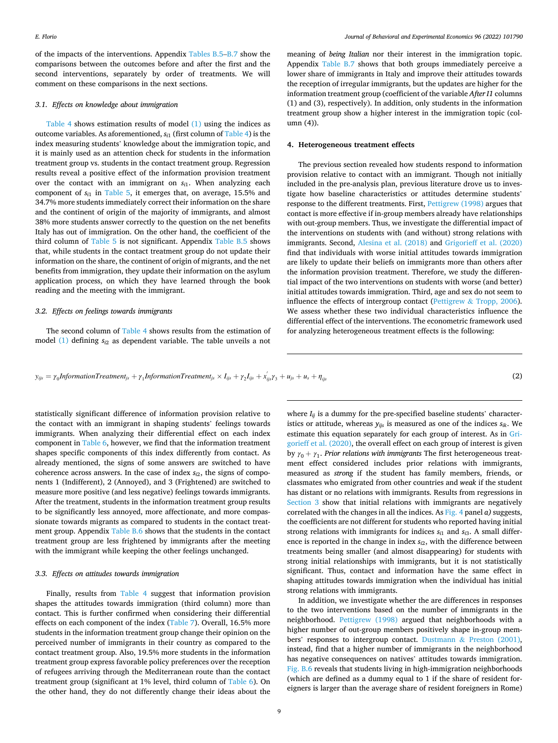<span id="page-8-0"></span>of the impacts of the interventions. Appendix [Tables B.5](#page-12-0)–[B.7](#page-14-0) show the comparisons between the outcomes before and after the first and the second interventions, separately by order of treatments. We will comment on these comparisons in the next sections.

#### *3.1. Effects on knowledge about immigration*

[Table 4](#page-4-0) shows estimation results of model [\(1\)](#page-6-0) using the indices as outcome variables. As aforementioned, *si*1 (first column of [Table 4\)](#page-4-0) is the index measuring students' knowledge about the immigration topic, and it is mainly used as an attention check for students in the information treatment group vs. students in the contact treatment group. Regression results reveal a positive effect of the information provision treatment over the contact with an immigrant on  $s_{i1}$ . When analyzing each component of  $s_{i1}$  in [Table 5](#page-4-0), it emerges that, on average, 15.5% and 34.7% more students immediately correct their information on the share and the continent of origin of the majority of immigrants, and almost 38% more students answer correctly to the question on the net benefits Italy has out of immigration. On the other hand, the coefficient of the third column of [Table 5](#page-4-0) is not significant. Appendix [Table B.5](#page-12-0) shows that, while students in the contact treatment group do not update their information on the share, the continent of origin of migrants, and the net benefits from immigration, they update their information on the asylum application process, on which they have learned through the book reading and the meeting with the immigrant.

#### *3.2. Effects on feelings towards immigrants*

The second column of [Table 4](#page-4-0) shows results from the estimation of model [\(1\)](#page-6-0) defining *si*2 as dependent variable. The table unveils a not meaning of *being Italian* nor their interest in the immigration topic. Appendix [Table B.7](#page-14-0) shows that both groups immediately perceive a lower share of immigrants in Italy and improve their attitudes towards the reception of irregular immigrants, but the updates are higher for the information treatment group (coefficient of the variable *After I1* columns (1) and (3), respectively). In addition, only students in the information treatment group show a higher interest in the immigration topic (column (4)).

#### **4. Heterogeneous treatment effects**

The previous section revealed how students respond to information provision relative to contact with an immigrant. Though not initially included in the pre-analysis plan, previous literature drove us to investigate how baseline characteristics or attitudes determine students' response to the different treatments. First, [Pettigrew \(1998\)](#page-19-0) argues that contact is more effective if in-group members already have relationships with out-group members. Thus, we investigate the differential impact of the interventions on students with (and without) strong relations with immigrants. Second, [Alesina et al. \(2018\)](#page-19-0) and [Grigorieff et al. \(2020\)](#page-19-0)  find that individuals with worse initial attitudes towards immigration are likely to update their beliefs on immigrants more than others after the information provision treatment. Therefore, we study the differential impact of the two interventions on students with worse (and better) initial attitudes towards immigration. Third, age and sex do not seem to influence the effects of intergroup contact (Pettigrew & [Tropp, 2006](#page-19-0)). We assess whether these two individual characteristics influence the differential effect of the interventions. The econometric framework used for analyzing heterogeneous treatment effects is the following:

 $y_{ijs} = \gamma_0$ *InformationTreatment<sub>js</sub>* + *γ*<sub>1</sub>*InformationTreatment<sub>js</sub>* × *I<sub>ijs</sub>* + *γ*<sub>2</sub>*I<sub>ijs</sub>* + *x*<sub>*ijsγ*3</sub> + *u<sub>js</sub>* + *u<sub>js</sub>* + *n<sub>ijs</sub>* (2)

statistically significant difference of information provision relative to the contact with an immigrant in shaping students' feelings towards immigrants. When analyzing their differential effect on each index component in [Table 6,](#page-5-0) however, we find that the information treatment shapes specific components of this index differently from contact. As already mentioned, the signs of some answers are switched to have coherence across answers. In the case of index *si*2, the signs of components 1 (Indifferent), 2 (Annoyed), and 3 (Frightened) are switched to measure more positive (and less negative) feelings towards immigrants. After the treatment, students in the information treatment group results to be significantly less annoyed, more affectionate, and more compassionate towards migrants as compared to students in the contact treatment group. Appendix [Table B.6](#page-13-0) shows that the students in the contact treatment group are less frightened by immigrants after the meeting with the immigrant while keeping the other feelings unchanged.

## *3.3. Effects on attitudes towards immigration*

Finally, results from [Table 4](#page-4-0) suggest that information provision shapes the attitudes towards immigration (third column) more than contact. This is further confirmed when considering their differential effects on each component of the index [\(Table 7\)](#page-5-0). Overall, 16.5% more students in the information treatment group change their opinion on the perceived number of immigrants in their country as compared to the contact treatment group. Also, 19.5% more students in the information treatment group express favorable policy preferences over the reception of refugees arriving through the Mediterranean route than the contact treatment group (significant at 1% level, third column of [Table 6](#page-5-0)). On the other hand, they do not differently change their ideas about the

where  $I_{ij}$  is a dummy for the pre-specified baseline students' characteristics or attitude, whereas  $y_{ijs}$  is measured as one of the indices  $s_{ik}$ . We estimate this equation separately for each group of interest. As in [Gri](#page-19-0)[gorieff et al. \(2020\)](#page-19-0), the overall effect on each group of interest is given by  $\gamma_0 + \gamma_1$ . *Prior relations with immigrants* The first heterogeneous treatment effect considered includes prior relations with immigrants, measured as *strong* if the student has family members, friends, or classmates who emigrated from other countries and *weak* if the student has distant or no relations with immigrants. Results from regressions in [Section 3](#page-6-0) show that initial relations with immigrants are negatively correlated with the changes in all the indices. As [Fig. 4](#page-3-0) panel *a)* suggests, the coefficients are not different for students who reported having initial strong relations with immigrants for indices  $s_{i1}$  and  $s_{i3}$ . A small difference is reported in the change in index  $s_{i2}$ , with the difference between treatments being smaller (and almost disappearing) for students with strong initial relationships with immigrants, but it is not statistically significant. Thus, contact and information have the same effect in shaping attitudes towards immigration when the individual has initial strong relations with immigrants.

In addition, we investigate whether the are differences in responses to the two interventions based on the number of immigrants in the neighborhood. [Pettigrew \(1998\)](#page-19-0) argued that neighborhoods with a higher number of out-group members positively shape in-group members' responses to intergroup contact. Dustmann & [Preston \(2001\)](#page-19-0), instead, find that a higher number of immigrants in the neighborhood has negative consequences on natives' attitudes towards immigration. [Fig. B.6](#page-19-0) reveals that students living in high-immigration neighborhoods (which are defined as a dummy equal to 1 if the share of resident foreigners is larger than the average share of resident foreigners in Rome)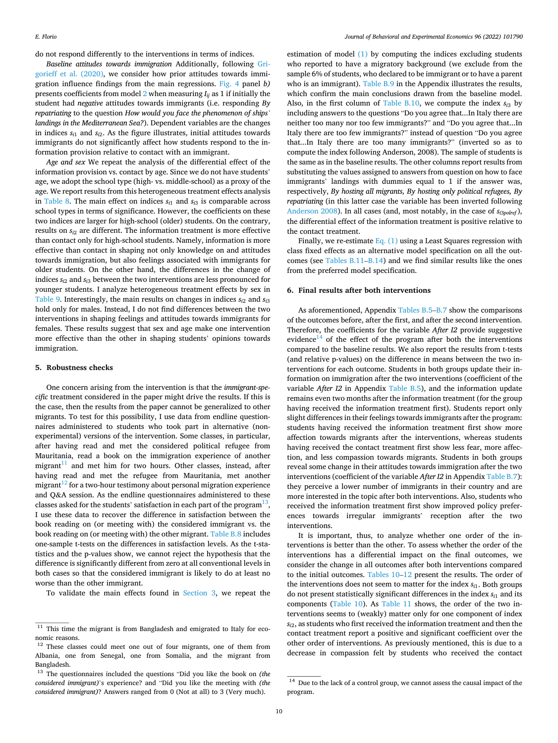<span id="page-9-0"></span>do not respond differently to the interventions in terms of indices.

*Baseline attitudes towards immigration* Additionally, following [Gri](#page-19-0)[gorieff et al. \(2020\)](#page-19-0), we consider how prior attitudes towards immigration influence findings from the main regressions. [Fig. 4](#page-3-0) panel *b)*  presents coefficients from model [2](#page-8-0) when measuring *Iij* as 1 if initially the student had *negative* attitudes towards immigrants (i.e. responding *By repatriating* to the question *How would you face the phenomenon of ships' landings in the Mediterranean Sea?*). Dependent variables are the changes in indices  $s_{i1}$  and  $s_{i2}$ . As the figure illustrates, initial attitudes towards immigrants do not significantly affect how students respond to the information provision relative to contact with an immigrant.

*Age and sex* We repeat the analysis of the differential effect of the information provision vs. contact by age. Since we do not have students' age, we adopt the school type (high- vs. middle-school) as a proxy of the age. We report results from this heterogeneous treatment effects analysis in [Table 8](#page-5-0). The main effect on indices  $s_{i1}$  and  $s_{i3}$  is comparable across school types in terms of significance. However, the coefficients on these two indices are larger for high-school (older) students. On the contrary, results on  $s_i$ <sup>2</sup> are different. The information treatment is more effective than contact only for high-school students. Namely, information is more effective than contact in shaping not only knowledge on and attitudes towards immigration, but also feelings associated with immigrants for older students. On the other hand, the differences in the change of indices *si*2 and *si*3 between the two interventions are less pronounced for younger students. I analyze heterogeneous treatment effects by sex in [Table 9](#page-6-0). Interestingly, the main results on changes in indices  $s_{i2}$  and  $s_{i3}$ hold only for males. Instead, I do not find differences between the two interventions in shaping feelings and attitudes towards immigrants for females. These results suggest that sex and age make one intervention more effective than the other in shaping students' opinions towards immigration.

#### **5. Robustness checks**

One concern arising from the intervention is that the *immigrant-specific* treatment considered in the paper might drive the results. If this is the case, then the results from the paper cannot be generalized to other migrants. To test for this possibility, I use data from endline questionnaires administered to students who took part in alternative (nonexperimental) versions of the intervention. Some classes, in particular, after having read and met the considered political refugee from Mauritania, read a book on the immigration experience of another migrant $11$  and met him for two hours. Other classes, instead, after having read and met the refugee from Mauritania, met another migrant $12$  for a two-hour testimony about personal migration experience and Q&A session. As the endline questionnaires administered to these classes asked for the students' satisfaction in each part of the program $^{13}$ I use these data to recover the difference in satisfaction between the book reading on (or meeting with) the considered immigrant vs. the book reading on (or meeting with) the other migrant. [Table B.8](#page-14-0) includes one-sample t-tests on the differences in satisfaction levels. As the t-statistics and the p-values show, we cannot reject the hypothesis that the difference is significantly different from zero at all conventional levels in both cases so that the considered immigrant is likely to do at least no worse than the other immigrant.

To validate the main effects found in [Section 3](#page-6-0), we repeat the

estimation of model [\(1\)](#page-6-0) by computing the indices excluding students who reported to have a migratory background (we exclude from the sample 6% of students, who declared to be immigrant or to have a parent who is an immigrant). [Table B.9](#page-15-0) in the Appendix illustrates the results, which confirm the main conclusions drawn from the baseline model. Also, in the first column of [Table B.10,](#page-15-0) we compute the index  $s_{i3}$  by including answers to the questions "Do you agree that...In Italy there are neither too many nor too few immigrants?" and "Do you agree that...In Italy there are too few immigrants?" instead of question "Do you agree that...In Italy there are too many immigrants?" (inverted so as to compute the index following Anderson, 2008). The sample of students is the same as in the baseline results. The other columns report results from substituting the values assigned to answers from question on how to face immigrants' landings with dummies equal to 1 if the answer was, respectively, *By hosting all migrants, By hosting only political refugees, By repatriating* (in this latter case the variable has been inverted following [Anderson 2008](#page-19-0)). In all cases (and, most notably, in the case of *si*3*polref*), the differential effect of the information treatment is positive relative to the contact treatment.

Finally, we re-estimate Eq.  $(1)$  using a Least Squares regression with class fixed effects as an alternative model specification on all the outcomes (see [Tables B.11](#page-15-0)–[B.14](#page-16-0)) and we find similar results like the ones from the preferred model specification.

#### **6. Final results after both interventions**

As aforementioned, Appendix [Tables B.5](#page-12-0)–[B.7](#page-14-0) show the comparisons of the outcomes before, after the first, and after the second intervention. Therefore, the coefficients for the variable *After I2* provide suggestive evidence $^{14}$  of the effect of the program after both the interventions compared to the baseline results. We also report the results from t-tests (and relative p-values) on the difference in means between the two interventions for each outcome. Students in both groups update their information on immigration after the two interventions (coefficient of the variable *After I2* in Appendix [Table B.5\)](#page-12-0), and the information update remains even two months after the information treatment (for the group having received the information treatment first). Students report only slight differences in their feelings towards immigrants after the program: students having received the information treatment first show more affection towards migrants after the interventions, whereas students having received the contact treatment first show less fear, more affection, and less compassion towards migrants. Students in both groups reveal some change in their attitudes towards immigration after the two interventions (coefficient of the variable *After I2* in Appendix [Table B.7](#page-14-0)): they perceive a lower number of immigrants in their country and are more interested in the topic after both interventions. Also, students who received the information treatment first show improved policy preferences towards irregular immigrants' reception after the two interventions.

It is important, thus, to analyze whether one order of the interventions is better than the other. To assess whether the order of the interventions has a differential impact on the final outcomes, we consider the change in all outcomes after both interventions compared to the initial outcomes. [Tables 10](#page-6-0)–[12](#page-7-0) present the results. The order of the interventions does not seem to matter for the index *si*1. Both groups do not present statistically significant differences in the index  $s_{i1}$  and its components [\(Table 10](#page-6-0)). As [Table 11](#page-7-0) shows, the order of the two interventions seems to (weakly) matter only for one component of index *si*2, as students who first received the information treatment and then the contact treatment report a positive and significant coefficient over the other order of interventions. As previously mentioned, this is due to a decrease in compassion felt by students who received the contact

 $^{11}\,$  This time the migrant is from Bangladesh and emigrated to Italy for economic reasons.<br><sup>12</sup> These classes could meet one out of four migrants, one of them from

Albania, one from Senegal, one from Somalia, and the migrant from Bangladesh.

<sup>13</sup> The questionnaires included the questions "Did you like the book on *(the considered immigrant)*'s experience? and "Did you like the meeting with *(the considered immigrant)*? Answers ranged from 0 (Not at all) to 3 (Very much).

 $^{14}\,$  Due to the lack of a control group, we cannot assess the causal impact of the program.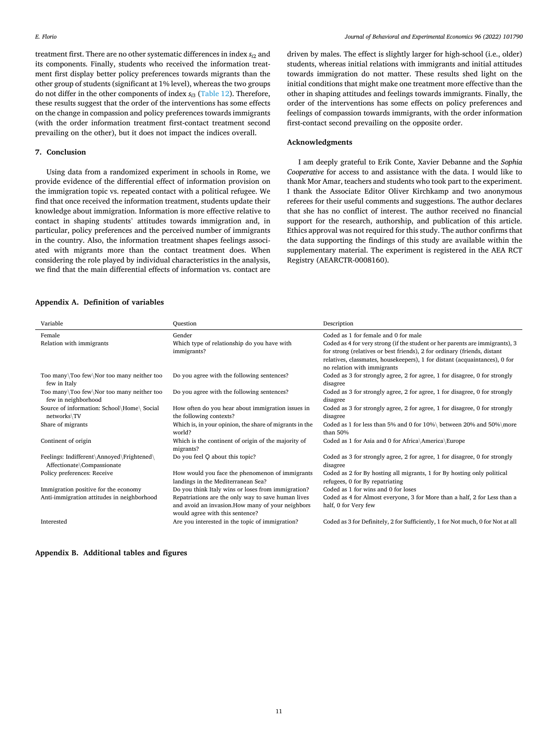<span id="page-10-0"></span>treatment first. There are no other systematic differences in index  $s_{i2}$  and its components. Finally, students who received the information treatment first display better policy preferences towards migrants than the other group of students (significant at 1% level), whereas the two groups do not differ in the other components of index *si*3 [\(Table 12\)](#page-7-0). Therefore, these results suggest that the order of the interventions has some effects on the change in compassion and policy preferences towards immigrants (with the order information treatment first-contact treatment second prevailing on the other), but it does not impact the indices overall.

## **7. Conclusion**

Using data from a randomized experiment in schools in Rome, we provide evidence of the differential effect of information provision on the immigration topic vs. repeated contact with a political refugee. We find that once received the information treatment, students update their knowledge about immigration. Information is more effective relative to contact in shaping students' attitudes towards immigration and, in particular, policy preferences and the perceived number of immigrants in the country. Also, the information treatment shapes feelings associated with migrants more than the contact treatment does. When considering the role played by individual characteristics in the analysis, we find that the main differential effects of information vs. contact are

driven by males. The effect is slightly larger for high-school (i.e., older) students, whereas initial relations with immigrants and initial attitudes towards immigration do not matter. These results shed light on the initial conditions that might make one treatment more effective than the other in shaping attitudes and feelings towards immigrants. Finally, the order of the interventions has some effects on policy preferences and feelings of compassion towards immigrants, with the order information first-contact second prevailing on the opposite order.

## **Acknowledgments**

I am deeply grateful to Erik Conte, Xavier Debanne and the *Sophia Cooperative* for access to and assistance with the data. I would like to thank Mor Amar, teachers and students who took part to the experiment. I thank the Associate Editor Oliver Kirchkamp and two anonymous referees for their useful comments and suggestions. The author declares that she has no conflict of interest. The author received no financial support for the research, authorship, and publication of this article. Ethics approval was not required for this study. The author confirms that the data supporting the findings of this study are available within the supplementary material. The experiment is registered in the AEA RCT Registry (AEARCTR-0008160).

#### **Appendix A. Definition of variables**

| Variable                                                                | Ouestion                                                                                                                                   | Description                                                                                                                                                                                                                                                           |
|-------------------------------------------------------------------------|--------------------------------------------------------------------------------------------------------------------------------------------|-----------------------------------------------------------------------------------------------------------------------------------------------------------------------------------------------------------------------------------------------------------------------|
| Female                                                                  | Gender                                                                                                                                     | Coded as 1 for female and 0 for male                                                                                                                                                                                                                                  |
| Relation with immigrants                                                | Which type of relationship do you have with<br>immigrants?                                                                                 | Coded as 4 for very strong (if the student or her parents are immigrants), 3<br>for strong (relatives or best friends), 2 for ordinary (friends, distant<br>relatives, classmates, housekeepers), 1 for distant (acquaintances), 0 for<br>no relation with immigrants |
| Too many\Too few\Nor too many neither too<br>few in Italy               | Do you agree with the following sentences?                                                                                                 | Coded as 3 for strongly agree, 2 for agree, 1 for disagree, 0 for strongly<br>disagree                                                                                                                                                                                |
| Too many\Too few\Nor too many neither too<br>few in neighborhood        | Do you agree with the following sentences?                                                                                                 | Coded as 3 for strongly agree, 2 for agree, 1 for disagree, 0 for strongly<br>disagree                                                                                                                                                                                |
| Source of information: School\Home\ Social<br>networks\TV               | How often do you hear about immigration issues in<br>the following contexts?                                                               | Coded as 3 for strongly agree, 2 for agree, 1 for disagree, 0 for strongly<br>disagree                                                                                                                                                                                |
| Share of migrants                                                       | Which is, in your opinion, the share of migrants in the<br>world?                                                                          | Coded as 1 for less than 5% and 0 for 10%\ between 20% and 50%\more<br>than 50%                                                                                                                                                                                       |
| Continent of origin                                                     | Which is the continent of origin of the majority of<br>migrants?                                                                           | Coded as 1 for Asia and 0 for Africa\America\Europe                                                                                                                                                                                                                   |
| Feelings: Indifferent\Annoyed\Frightened\<br>Affectionate\Compassionate | Do you feel Q about this topic?                                                                                                            | Coded as 3 for strongly agree, 2 for agree, 1 for disagree, 0 for strongly<br>disagree                                                                                                                                                                                |
| Policy preferences: Receive                                             | How would you face the phenomenon of immigrants<br>landings in the Mediterranean Sea?                                                      | Coded as 2 for By hosting all migrants, 1 for By hosting only political<br>refugees, 0 for By repatriating                                                                                                                                                            |
| Immigration positive for the economy                                    | Do you think Italy wins or loses from immigration?                                                                                         | Coded as 1 for wins and 0 for loses                                                                                                                                                                                                                                   |
| Anti-immigration attitudes in neighborhood                              | Repatriations are the only way to save human lives<br>and avoid an invasion. How many of your neighbors<br>would agree with this sentence? | Coded as 4 for Almost everyone, 3 for More than a half, 2 for Less than a<br>half, 0 for Very few                                                                                                                                                                     |
| Interested                                                              | Are you interested in the topic of immigration?                                                                                            | Coded as 3 for Definitely, 2 for Sufficiently, 1 for Not much, 0 for Not at all                                                                                                                                                                                       |

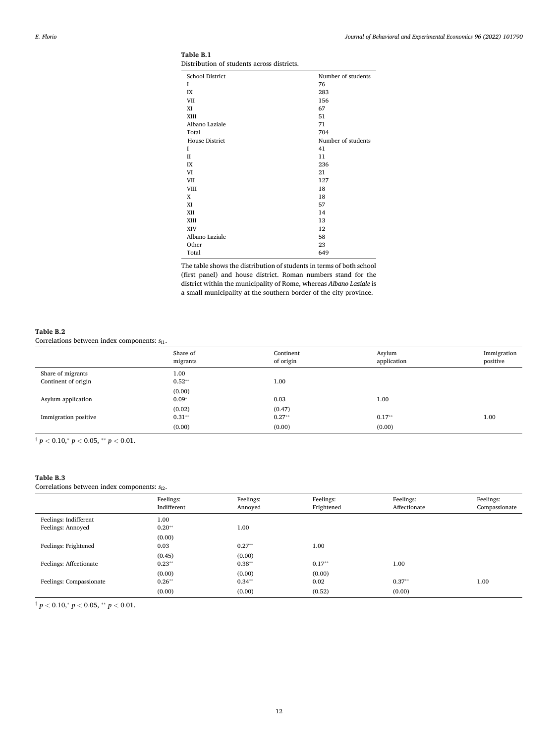| School District       | Number of students |
|-----------------------|--------------------|
| I                     | 76                 |
| IX                    | 283                |
| VII                   | 156                |
| XI                    | 67                 |
| XIII                  | 51                 |
| Albano Laziale        | 71                 |
| Total                 | 704                |
| <b>House District</b> | Number of students |
| T                     | 41                 |
| П                     | 11                 |
| IX                    | 236                |
| VI                    | 21                 |
| VII                   | 127                |
| VIII                  | 18                 |
| X                     | 18                 |
| XI                    | 57                 |
| XII                   | 14                 |
| XIII                  | 13                 |
| XIV                   | 12                 |
| Albano Laziale        | 58                 |
| Other                 | 23                 |
| Total                 | 649                |

<span id="page-11-0"></span>**Table B.1**  Distribution of students across districts.

The table shows the distribution of students in terms of both school (first panel) and house district. Roman numbers stand for the district within the municipality of Rome, whereas *Albano Laziale* is a small municipality at the southern border of the city province.

## **Table B.2**

Correlations between index components: *si*1.

|                                          | Share of<br>migrants | Continent<br>of origin | Asylum<br>application | Immigration<br>positive |
|------------------------------------------|----------------------|------------------------|-----------------------|-------------------------|
| Share of migrants<br>Continent of origin | 1.00<br>$0.52**$     | 1.00                   |                       |                         |
|                                          | (0.00)               |                        |                       |                         |
| Asylum application                       | $0.09*$              | 0.03                   | 1.00                  |                         |
|                                          | (0.02)               | (0.47)                 |                       |                         |
| Immigration positive                     | $0.31**$             | $0.27**$               | $0.17**$              | 1.00                    |
|                                          | (0.00)               | (0.00)                 | (0.00)                |                         |

 $\frac{1}{p}$  < 0.10,\* *p* < 0.05, \*\* *p* < 0.01.

## **Table B.3**

Correlations between index components: *si*2.

| $\mathbf{r}$                               | $\overline{\phantom{0}}$ |                      |                         |                           |                            |
|--------------------------------------------|--------------------------|----------------------|-------------------------|---------------------------|----------------------------|
|                                            | Feelings:<br>Indifferent | Feelings:<br>Annoved | Feelings:<br>Frightened | Feelings:<br>Affectionate | Feelings:<br>Compassionate |
| Feelings: Indifferent<br>Feelings: Annoyed | 1.00<br>$0.20**$         | 1.00                 |                         |                           |                            |
| Feelings: Frightened                       | (0.00)<br>0.03           | $0.27**$             | 1.00                    |                           |                            |
| Feelings: Affectionate                     | (0.45)<br>$0.23**$       | (0.00)<br>$0.38**$   | $0.17**$                | 1.00                      |                            |
| Feelings: Compassionate                    | (0.00)<br>$0.26**$       | (0.00)<br>$0.34**$   | (0.00)<br>0.02          | $0.37**$                  | 1.00                       |
|                                            | (0.00)                   | (0.00)               | (0.52)                  | (0.00)                    |                            |

 $\frac{1}{p}$  *z* 0*.*10,\* *p* < 0*.*05, \*\* *p* < 0*.*01.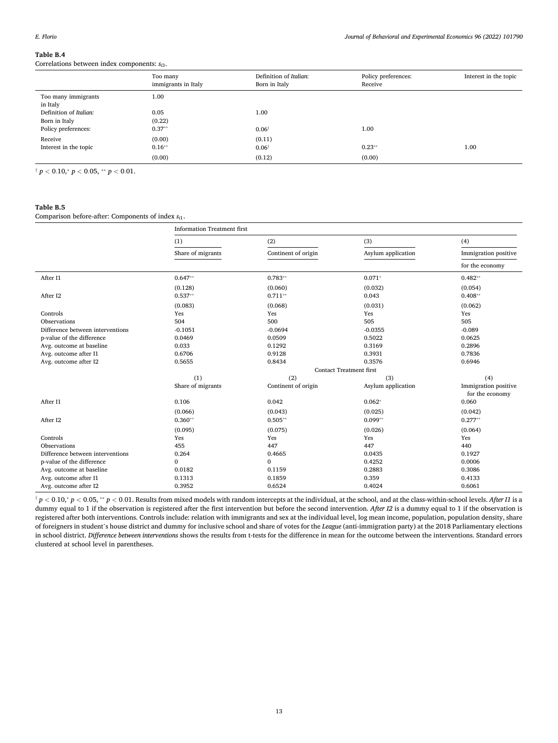<span id="page-12-0"></span>Correlations between index components: *si*3.

|                                 | Too many<br>immigrants in Italy | Definition of Italian:<br>Born in Italy | Policy preferences:<br>Receive | Interest in the topic |
|---------------------------------|---------------------------------|-----------------------------------------|--------------------------------|-----------------------|
| Too many immigrants<br>in Italy | 1.00                            |                                         |                                |                       |
| Definition of Italian:          | 0.05                            | 1.00                                    |                                |                       |
| Born in Italy                   | (0.22)                          |                                         |                                |                       |
| Policy preferences:             | $0.37**$                        | $0.06^{\dagger}$                        | 1.00                           |                       |
| Receive                         | (0.00)                          | (0.11)                                  |                                |                       |
| Interest in the topic           | $0.16***$                       | $0.06^{\dagger}$                        | $0.23**$                       | 1.00                  |
|                                 | (0.00)                          | (0.12)                                  | (0.00)                         |                       |

 $\frac{1}{p}$   $p$  < 0.10, $\frac{1}{p}$   $p$  < 0.05,  $\frac{1}{p}$   $p$  < 0.01.

## **Table B.5**

Comparison before-after: Components of index *si*1.

|                                  | <b>Information Treatment first</b> |                                |                    |                                         |  |
|----------------------------------|------------------------------------|--------------------------------|--------------------|-----------------------------------------|--|
|                                  | (1)                                | (2)                            | (3)                | (4)                                     |  |
|                                  | Share of migrants                  | Continent of origin            | Asylum application | Immigration positive                    |  |
|                                  |                                    |                                |                    | for the economy                         |  |
| After I1                         | $0.647**$                          | $0.783**$                      | $0.071*$           | $0.482**$                               |  |
|                                  | (0.128)                            | (0.060)                        | (0.032)            | (0.054)                                 |  |
| After I2                         | $0.537**$                          | $0.711**$                      | 0.043              | $0.408**$                               |  |
|                                  | (0.083)                            | (0.068)                        | (0.031)            | (0.062)                                 |  |
| Controls                         | Yes                                | Yes                            | Yes                | Yes                                     |  |
| Observations                     | 504                                | 500                            | 505                | 505                                     |  |
| Difference between interventions | $-0.1051$                          | $-0.0694$                      | $-0.0355$          | $-0.089$                                |  |
| p-value of the difference        | 0.0469                             | 0.0509                         | 0.5022             | 0.0625                                  |  |
| Avg. outcome at baseline         | 0.033                              | 0.1292                         | 0.3169             | 0.2896                                  |  |
| Avg. outcome after I1            | 0.6706                             | 0.9128                         | 0.3931             | 0.7836                                  |  |
| Avg. outcome after I2            | 0.5655                             | 0.8434                         | 0.3576             | 0.6946                                  |  |
|                                  |                                    | <b>Contact Treatment first</b> |                    |                                         |  |
|                                  | (1)                                | (2)                            | (3)                | (4)                                     |  |
|                                  | Share of migrants                  | Continent of origin            | Asylum application | Immigration positive<br>for the economy |  |
| After I1                         | 0.106                              | 0.042                          | $0.062*$           | 0.060                                   |  |
|                                  | (0.066)                            | (0.043)                        | (0.025)            | (0.042)                                 |  |
| After I2                         | $0.360**$                          | $0.505**$                      | $0.099**$          | $0.277**$                               |  |
|                                  | (0.095)                            | (0.075)                        | (0.026)            | (0.064)                                 |  |
| Controls                         | Yes                                | Yes                            | Yes                | Yes                                     |  |
| Observations                     | 455                                | 447                            | 447                | 440                                     |  |
| Difference between interventions | 0.264                              | 0.4665                         | 0.0435             | 0.1927                                  |  |
| p-value of the difference        | $\mathbf{0}$                       | $\mathbf{0}$                   | 0.4252             | 0.0006                                  |  |
| Avg. outcome at baseline         | 0.0182                             | 0.1159                         | 0.2883             | 0.3086                                  |  |
| Avg. outcome after I1            | 0.1313                             | 0.1859                         | 0.359              | 0.4133                                  |  |
| Avg. outcome after I2            | 0.3952                             | 0.6524                         | 0.4024             | 0.6061                                  |  |

 $\dagger p < 0.10$ ,  $p < 0.05$ ,  $*_p$  < 0.01. Results from mixed models with random intercepts at the individual, at the school, and at the class-within-school levels. After I1 is a dummy equal to 1 if the observation is registered after the first intervention but before the second intervention. *After I2* is a dummy equal to 1 if the observation is registered after both interventions. Controls include: relation with immigrants and sex at the individual level, log mean income, population, population density, share of foreigners in student's house district and dummy for inclusive school and share of votes for the *League* (anti-immigration party) at the 2018 Parliamentary elections in school district. *Difference between interventions* shows the results from t-tests for the difference in mean for the outcome between the interventions. Standard errors clustered at school level in parentheses.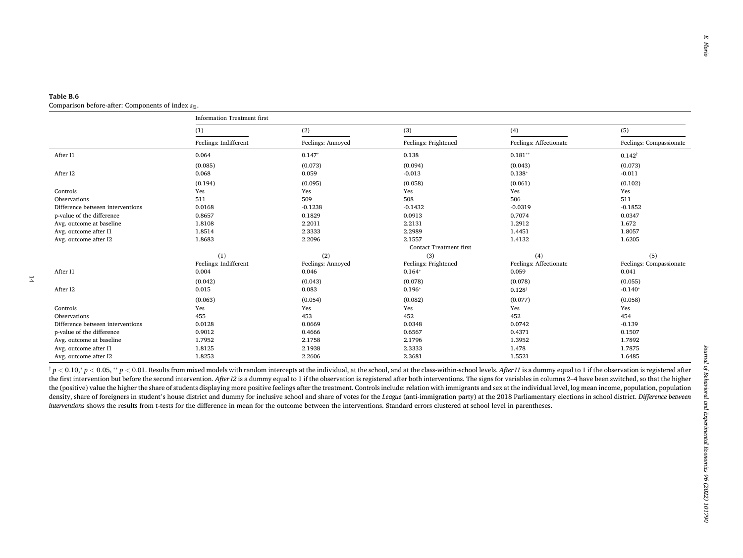<span id="page-13-0"></span>

|  | Comparison before-after: Components of index $s_{i2}$ . |  |
|--|---------------------------------------------------------|--|
|--|---------------------------------------------------------|--|

|                                  | <b>Information Treatment first</b> |                   |                                |                        |                         |
|----------------------------------|------------------------------------|-------------------|--------------------------------|------------------------|-------------------------|
|                                  | (1)                                | (2)               | (3)                            | (4)                    | (5)                     |
|                                  | Feelings: Indifferent              | Feelings: Annoyed | Feelings: Frightened           | Feelings: Affectionate | Feelings: Compassionate |
| After I1                         | 0.064                              | $0.147*$          | 0.138                          | $0.181**$              | $0.142^{\dagger}$       |
|                                  | (0.085)                            | (0.073)           | (0.094)                        | (0.043)                | (0.073)                 |
| After I2                         | 0.068                              | 0.059             | $-0.013$                       | $0.138*$               | $-0.011$                |
|                                  | (0.194)                            | (0.095)           | (0.058)                        | (0.061)                | (0.102)                 |
| Controls                         | Yes                                | Yes               | Yes                            | Yes                    | Yes                     |
| Observations                     | 511                                | 509               | 508                            | 506                    | 511                     |
| Difference between interventions | 0.0168                             | $-0.1238$         | $-0.1432$                      | $-0.0319$              | $-0.1852$               |
| p-value of the difference        | 0.8657                             | 0.1829            | 0.0913                         | 0.7074                 | 0.0347                  |
| Avg. outcome at baseline         | 1.8108                             | 2.2011            | 2.2131                         | 1.2912                 | 1.672                   |
| Avg. outcome after I1            | 1.8514                             | 2.3333            | 2.2989                         | 1.4451                 | 1.8057                  |
| Avg. outcome after I2            | 1.8683                             | 2.2096            | 2.1557                         | 1.4132                 | 1.6205                  |
|                                  |                                    |                   | <b>Contact Treatment first</b> |                        |                         |
|                                  | (1)                                | (2)               | (3)                            | (4)                    | (5)                     |
|                                  | Feelings: Indifferent              | Feelings: Annoyed | Feelings: Frightened           | Feelings: Affectionate | Feelings: Compassionate |
| After I1                         | 0.004                              | 0.046             | $0.164*$                       | 0.059                  | 0.041                   |
|                                  | (0.042)                            | (0.043)           | (0.078)                        | (0.078)                | (0.055)                 |
| After I2                         | 0.015                              | 0.083             | $0.196*$                       | $0.128^{\dagger}$      | $-0.140*$               |
|                                  | (0.063)                            | (0.054)           | (0.082)                        | (0.077)                | (0.058)                 |
| Controls                         | Yes                                | Yes               | Yes                            | Yes                    | Yes                     |
| Observations                     | 455                                | 453               | 452                            | 452                    | 454                     |
| Difference between interventions | 0.0128                             | 0.0669            | 0.0348                         | 0.0742                 | $-0.139$                |
| p-value of the difference        | 0.9012                             | 0.4666            | 0.6567                         | 0.4371                 | 0.1507                  |
| Avg. outcome at baseline         | 1.7952                             | 2.1758            | 2.1796                         | 1.3952                 | 1.7892                  |
| Avg. outcome after I1            | 1.8125                             | 2.1938            | 2.3333                         | 1.478                  | 1.7875                  |
| Avg. outcome after I2            | 1.8253                             | 2.2606            | 2.3681                         | 1.5521                 | 1.6485                  |

 $\uparrow p < 0.10$ ,  $\uparrow p < 0.05$ ,  $\ast\ast p < 0.01$ . Results from mixed models with random intercepts at the individual, at the school, and at the class-within-school levels. After 11 is a dumny equal to 1 if the observation is reg the first intervention but before the second intervention. After I2 is a dummy equal to 1 if the observation is registered after both interventions. The signs for variables in columns 2-4 have been switched, so that the hi the (positive) value the higher the share of students displaying more positive feelings after the treatment. Controls include: relation with immigrants and sex at the individual level, log mean income, population, populati density, share of foreigners in student's house district and dummy for inclusive school and share of votes for the League (anti-immigration party) at the 2018 Parliamentary elections in school district. Difference between *interventions* shows the results from t-tests for the difference in mean for the outcome between the interventions. Standard errors clustered at school level in parentheses.

14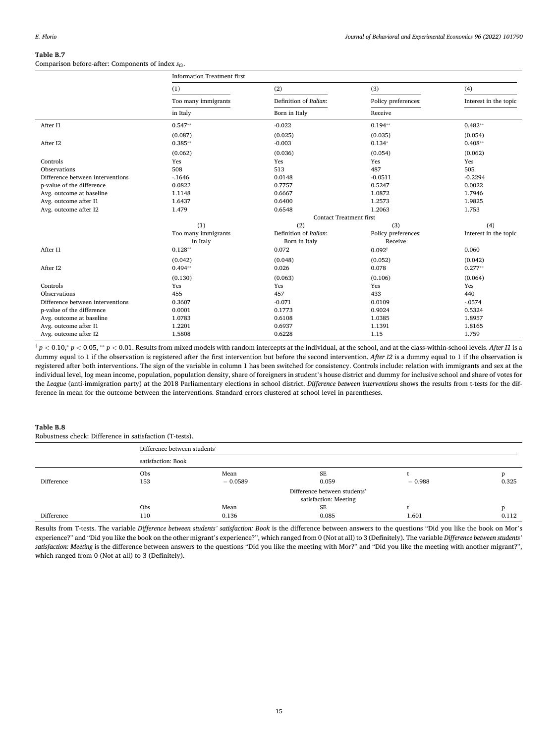## <span id="page-14-0"></span>**Table B.7**  Comparison before-after: Components of index *si*3.

|                                  | <b>Information Treatment first</b> |                                |                     |                       |  |
|----------------------------------|------------------------------------|--------------------------------|---------------------|-----------------------|--|
|                                  | (1)                                | (2)                            | (3)                 | (4)                   |  |
|                                  | Too many immigrants                | Definition of Italian:         | Policy preferences: | Interest in the topic |  |
|                                  | in Italy                           | Born in Italy                  | Receive             |                       |  |
| After I1                         | $0.547**$                          | $-0.022$                       | $0.194**$           | $0.482**$             |  |
|                                  | (0.087)                            | (0.025)                        | (0.035)             | (0.054)               |  |
| After I2                         | $0.385**$                          | $-0.003$                       | $0.134*$            | $0.408**$             |  |
|                                  | (0.062)                            | (0.036)                        | (0.054)             | (0.062)               |  |
| Controls                         | Yes                                | Yes                            | Yes                 | Yes                   |  |
| Observations                     | 508                                | 513                            | 487                 | 505                   |  |
| Difference between interventions | $-1646$                            | 0.0148                         | $-0.0511$           | $-0.2294$             |  |
| p-value of the difference        | 0.0822                             | 0.7757                         | 0.5247              | 0.0022                |  |
| Avg. outcome at baseline         | 1.1148                             | 0.6667                         | 1.0872              | 1.7946                |  |
| Avg. outcome after I1            | 1.6437                             | 0.6400                         | 1.2573              | 1.9825                |  |
| Avg. outcome after I2            | 1.479                              | 0.6548                         | 1.2063              | 1.753                 |  |
|                                  |                                    | <b>Contact Treatment first</b> |                     |                       |  |
|                                  | (1)                                | (2)                            | (3)                 | (4)                   |  |
|                                  | Too many immigrants                | Definition of Italian:         | Policy preferences: | Interest in the topic |  |
|                                  | in Italy                           | Born in Italy                  | Receive             |                       |  |
| After I1                         | $0.128**$                          | 0.072                          | $0.092^{\dagger}$   | 0.060                 |  |
|                                  | (0.042)                            | (0.048)                        | (0.052)             | (0.042)               |  |
| After I2                         | $0.494**$                          | 0.026                          | 0.078               | $0.277**$             |  |
|                                  | (0.130)                            | (0.063)                        | (0.106)             | (0.064)               |  |
| Controls                         | Yes                                | Yes                            | Yes                 | Yes                   |  |
| Observations                     | 455                                | 457                            | 433                 | 440                   |  |
| Difference between interventions | 0.3607                             | $-0.071$                       | 0.0109              | $-.0574$              |  |
| p-value of the difference        | 0.0001                             | 0.1773                         | 0.9024              | 0.5324                |  |
| Avg. outcome at baseline         | 1.0783                             | 0.6108                         | 1.0385              | 1.8957                |  |
| Avg. outcome after I1            | 1.2201                             | 0.6937                         | 1.1391              | 1.8165                |  |
| Avg. outcome after I2            | 1.5808                             | 0.6228                         | 1.15                | 1.759                 |  |

 $\dagger p < 0.10$ ,  $p < 0.05$ ,  $*_p$  < 0.01. Results from mixed models with random intercepts at the individual, at the school, and at the class-within-school levels. After I1 is a dummy equal to 1 if the observation is registered after the first intervention but before the second intervention. *After I2* is a dummy equal to 1 if the observation is registered after both interventions. The sign of the variable in column 1 has been switched for consistency. Controls include: relation with immigrants and sex at the individual level, log mean income, population, population density, share of foreigners in student's house district and dummy for inclusive school and share of votes for the *League* (anti-immigration party) at the 2018 Parliamentary elections in school district. *Difference between interventions* shows the results from t-tests for the difference in mean for the outcome between the interventions. Standard errors clustered at school level in parentheses.

## **Table B.8**

Robustness check: Difference in satisfaction (T-tests).

|            | Difference between students'                          |                   |             |          |       |  |
|------------|-------------------------------------------------------|-------------------|-------------|----------|-------|--|
|            | satisfaction: Book                                    |                   |             |          |       |  |
| Difference | Obs<br>153                                            | Mean<br>$-0.0589$ | SE<br>0.059 | $-0.988$ | 0.325 |  |
|            | Difference between students'<br>satisfaction: Meeting |                   |             |          |       |  |
|            | Obs                                                   | Mean              | SE          |          | D     |  |
| Difference | 110                                                   | 0.136             | 0.085       | 1.601    | 0.112 |  |

Results from T-tests. The variable *Difference between students' satisfaction: Book* is the difference between answers to the questions "Did you like the book on Mor's experience?" and "Did you like the book on the other migrant's experience?", which ranged from 0 (Not at all) to 3 (Definitely). The variable *Difference between students' satisfaction: Meeting* is the difference between answers to the questions "Did you like the meeting with Mor?" and "Did you like the meeting with another migrant?", which ranged from 0 (Not at all) to 3 (Definitely).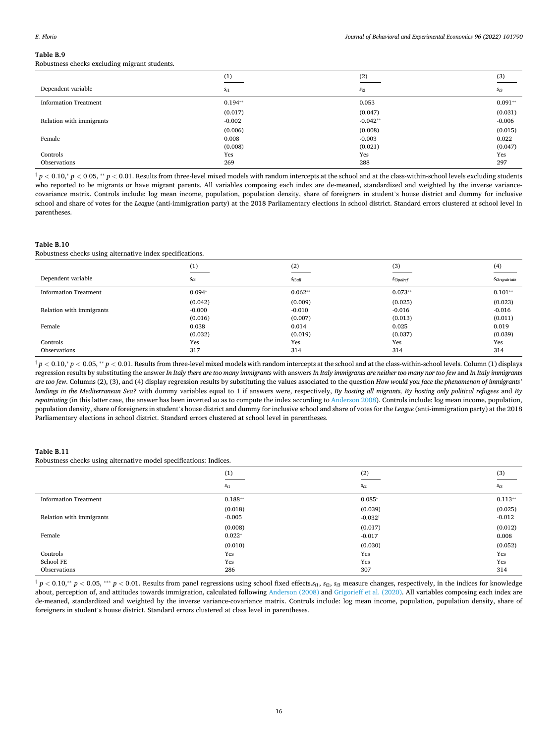<span id="page-15-0"></span>Robustness checks excluding migrant students.

|                              | (1)       | (2)        | $\frac{(3)}{2}$ |
|------------------------------|-----------|------------|-----------------|
| Dependent variable           | $S_{i1}$  | $S_{i2}$   | $S_{i3}$        |
| <b>Information Treatment</b> | $0.194**$ | 0.053      | $0.091**$       |
|                              | (0.017)   | (0.047)    | (0.031)         |
| Relation with immigrants     | $-0.002$  | $-0.042**$ | $-0.006$        |
|                              | (0.006)   | (0.008)    | (0.015)         |
| Female                       | 0.008     | $-0.003$   | 0.022           |
|                              | (0.008)   | (0.021)    | (0.047)         |
| Controls                     | Yes       | Yes        | Yes             |
| Observations                 | 269       | 288        | 297             |

 $\uparrow p < 0.10$ ,  $\uparrow p < 0.05$ ,  $\uparrow\uparrow p < 0.01$ . Results from three-level mixed models with random intercepts at the school and at the class-within-school levels excluding students who reported to be migrants or have migrant parents. All variables composing each index are de-meaned, standardized and weighted by the inverse variancecovariance matrix. Controls include: log mean income, population, population density, share of foreigners in student's house district and dummy for inclusive school and share of votes for the *League* (anti-immigration party) at the 2018 Parliamentary elections in school district. Standard errors clustered at school level in parentheses.

#### **Table B.10**

Robustness checks using alternative index specifications.

|                              | (1)      | (2)                | (3)              | (4)              |
|------------------------------|----------|--------------------|------------------|------------------|
| Dependent variable           | $S_{i3}$ | S <sub>i3all</sub> | $S_{i3polderef}$ | $Si3$ repatriate |
| <b>Information Treatment</b> | $0.094*$ | $0.062**$          | $0.073**$        | $0.101**$        |
|                              | (0.042)  | (0.009)            | (0.025)          | (0.023)          |
| Relation with immigrants     | $-0.000$ | $-0.010$           | $-0.016$         | $-0.016$         |
|                              | (0.016)  | (0.007)            | (0.013)          | (0.011)          |
| Female                       | 0.038    | 0.014              | 0.025            | 0.019            |
|                              | (0.032)  | (0.019)            | (0.037)          | (0.039)          |
| Controls                     | Yes      | Yes                | Yes              | Yes              |
| Observations                 | 317      | 314                | 314              | 314              |

 $^{\dagger}$  p < 0.10, $^*$  p < 0.05,  $^{**}$  p < 0.01. Results from three-level mixed models with random intercepts at the school and at the class-within-school levels. Column (1) displays regression results by substituting the answer *In Italy there are too many immigrants* with answers *In Italy immigrants are neither too many nor too few* and *In Italy immigrants are too few*. Columns (2), (3), and (4) display regression results by substituting the values associated to the question *How would you face the phenomenon of immigrants' landings in the Mediterranean Sea?* with dummy variables equal to 1 if answers were, respectively, *By hosting all migrants, By hosting only political refugees* and *By repatriating* (in this latter case, the answer has been inverted so as to compute the index according to [Anderson 2008\)](#page-19-0). Controls include: log mean income, population, population density, share of foreigners in student's house district and dummy for inclusive school and share of votes for the *League* (anti-immigration party) at the 2018 Parliamentary elections in school district. Standard errors clustered at school level in parentheses.

## **Table B.11**

Robustness checks using alternative model specifications: Indices.

|                              | (1)       | (2)                | $\frac{(3)}{2}$ |
|------------------------------|-----------|--------------------|-----------------|
|                              | $S_{i1}$  | $S_{i2}$           | $S_{i3}$        |
| <b>Information Treatment</b> | $0.188**$ | $0.085*$           | $0.113**$       |
|                              | (0.018)   | (0.039)            | (0.025)         |
| Relation with immigrants     | $-0.005$  | $-0.032^{\dagger}$ | $-0.012$        |
|                              | (0.008)   | (0.017)            | (0.012)         |
| Female                       | $0.022*$  | $-0.017$           | 0.008           |
|                              | (0.010)   | (0.030)            | (0.052)         |
| Controls                     | Yes       | Yes                | Yes             |
| School FE                    | Yes       | Yes                | Yes             |
| Observations                 | 286       | 307                | 314             |

 $\frac{1}{T} p < 0.10$ ,  $\frac{1}{T} p < 0.05$ ,  $\frac{1}{T} p < 0.01$ . Results from panel regressions using school fixed effects.  $s_{i1}$ ,  $s_{i2}$ ,  $s_{i3}$  measure changes, respectively, in the indices for knowledge about, perception of, and attitudes towards immigration, calculated following [Anderson \(2008\)](#page-19-0) and [Grigorieff et al. \(2020\)](#page-19-0). All variables composing each index are de-meaned, standardized and weighted by the inverse variance-covariance matrix. Controls include: log mean income, population, population density, share of foreigners in student's house district. Standard errors clustered at class level in parentheses.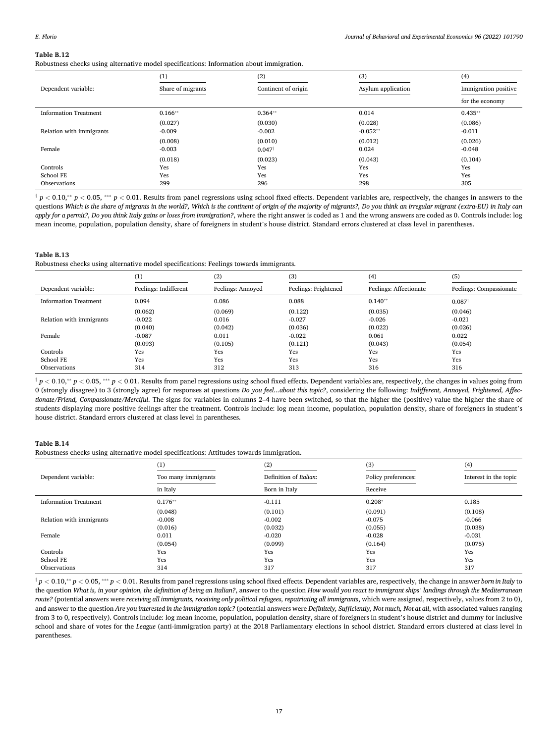<span id="page-16-0"></span>Robustness checks using alternative model specifications: Information about immigration.

|                                       | (1)                 | (2)                          | (3)                   | (4)                          |
|---------------------------------------|---------------------|------------------------------|-----------------------|------------------------------|
| Dependent variable:                   | Share of migrants   | Continent of origin          | Asylum application    | Immigration positive         |
|                                       |                     |                              |                       | for the economy              |
| <b>Information Treatment</b>          | $0.166**$           | $0.364**$                    | 0.014                 | $0.435**$                    |
| Relation with immigrants              | (0.027)<br>$-0.009$ | (0.030)<br>$-0.002$          | (0.028)<br>$-0.052**$ | (0.086)<br>$-0.011$          |
|                                       | (0.008)             | (0.010)                      | (0.012)               | (0.026)                      |
| Female                                | $-0.003$<br>(0.018) | $0.047^{\dagger}$<br>(0.023) | 0.024<br>(0.043)      | $-0.048$                     |
| Controls<br>School FE<br>Observations | Yes<br>Yes<br>299   | Yes<br>Yes<br>296            | Yes<br>Yes<br>298     | (0.104)<br>Yes<br>Yes<br>305 |

 $\uparrow p < 0.10$ ,  $\uparrow$   $p < 0.05$ ,  $\uparrow \uparrow$   $p < 0.01$ . Results from panel regressions using school fixed effects. Dependent variables are, respectively, the changes in answers to the questions *Which is the share of migrants in the world?, Which is the continent of origin of the majority of migrants?, Do you think an irregular migrant (extra-EU) in Italy can apply for a permit?, Do you think Italy gains or loses from immigration?*, where the right answer is coded as 1 and the wrong answers are coded as 0. Controls include: log mean income, population, population density, share of foreigners in student's house district. Standard errors clustered at class level in parentheses.

## **Table B.13**

Robustness checks using alternative model specifications: Feelings towards immigrants.

|                              | (1)                   | (2)               | (3)                  | (4)                    | (5)                     |
|------------------------------|-----------------------|-------------------|----------------------|------------------------|-------------------------|
| Dependent variable:          | Feelings: Indifferent | Feelings: Annoyed | Feelings: Frightened | Feelings: Affectionate | Feelings: Compassionate |
| <b>Information Treatment</b> | 0.094                 | 0.086             | 0.088                | $0.140**$              | $0.087$ <sup>†</sup>    |
|                              | (0.062)               | (0.069)           | (0.122)              | (0.035)                | (0.046)                 |
| Relation with immigrants     | $-0.022$              | 0.016             | $-0.027$             | $-0.026$               | $-0.021$                |
|                              | (0.040)               | (0.042)           | (0.036)              | (0.022)                | (0.026)                 |
| Female                       | $-0.087$              | 0.011             | $-0.022$             | 0.061                  | 0.022                   |
|                              | (0.093)               | (0.105)           | (0.121)              | (0.043)                | (0.054)                 |
| Controls                     | Yes                   | Yes               | Yes                  | Yes                    | Yes                     |
| School FE                    | Yes                   | Yes               | Yes                  | Yes                    | Yes                     |
| Observations                 | 314                   | 312               | 313                  | 316                    | 316                     |

 $\frac{1}{T} p < 0.10$ ,\*\*  $p < 0.05$ ,\*\*\*  $p < 0.01$ . Results from panel regressions using school fixed effects. Dependent variables are, respectively, the changes in values going from 0 (strongly disagree) to 3 (strongly agree) for responses at questions *Do you feel...about this topic?*, considering the following: *Indifferent, Annoyed, Frightened, Affectionate/Friend, Compassionate/Merciful.* The signs for variables in columns 2–4 have been switched, so that the higher the (positive) value the higher the share of students displaying more positive feelings after the treatment. Controls include: log mean income, population, population density, share of foreigners in student's house district. Standard errors clustered at class level in parentheses.

## **Table B.14**

Robustness checks using alternative model specifications: Attitudes towards immigration.

|                              | (1)                 | (2)                    | (3)                 | (4)                   |
|------------------------------|---------------------|------------------------|---------------------|-----------------------|
| Dependent variable:          | Too many immigrants | Definition of Italian: | Policy preferences: | Interest in the topic |
|                              | in Italy            | Born in Italy          | Receive             |                       |
| <b>Information Treatment</b> | $0.176**$           | $-0.111$               | $0.208*$            | 0.185                 |
|                              | (0.048)             | (0.101)                | (0.091)             | (0.108)               |
| Relation with immigrants     | $-0.008$            | $-0.002$               | $-0.075$            | $-0.066$              |
|                              | (0.016)             | (0.032)                | (0.055)             | (0.038)               |
| Female                       | 0.011               | $-0.020$               | $-0.028$            | $-0.031$              |
|                              | (0.054)             | (0.099)                | (0.164)             | (0.075)               |
| Controls                     | Yes                 | Yes                    | Yes                 | Yes                   |
| School FE                    | Yes                 | Yes                    | Yes                 | Yes                   |
| Observations                 | 314                 | 317                    | 317                 | 317                   |

 $\uparrow p < 0.10$ ,\*\*  $p < 0.05$ ,\*\*\*  $p < 0.01$ . Results from panel regressions using school fixed effects. Dependent variables are, respectively, the change in answer born in Italy to the question *What is, in your opinion, the definition of being an Italian?*, answer to the question *How would you react to immigrant ships' landings through the Mediterranean route?* (potential answers were *receiving all immigrants, receiving only political refugees, repatriating all immigrants*, which were assigned, respectively, values from 2 to 0), and answer to the question *Are you interested in the immigration topic?* (potential answers were *Definitely, Sufficiently, Not much, Not at all*, with associated values ranging from 3 to 0, respectively). Controls include: log mean income, population, population density, share of foreigners in student's house district and dummy for inclusive school and share of votes for the *League* (anti-immigration party) at the 2018 Parliamentary elections in school district. Standard errors clustered at class level in parentheses.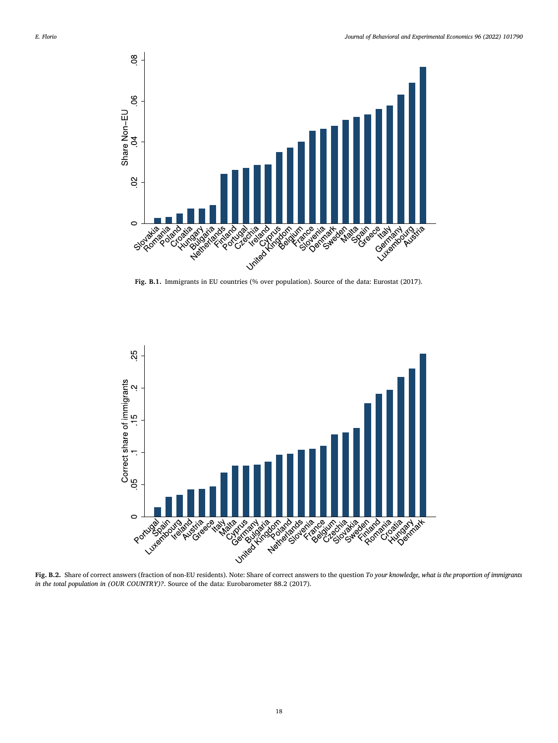

**Fig. B.1.** Immigrants in EU countries (% over population). Source of the data: Eurostat (2017).



**Fig. B.2.** Share of correct answers (fraction of non-EU residents). Note: Share of correct answers to the question *To your knowledge, what is the proportion of immigrants in the total population in (OUR COUNTRY)?*. Source of the data: Eurobarometer 88.2 (2017).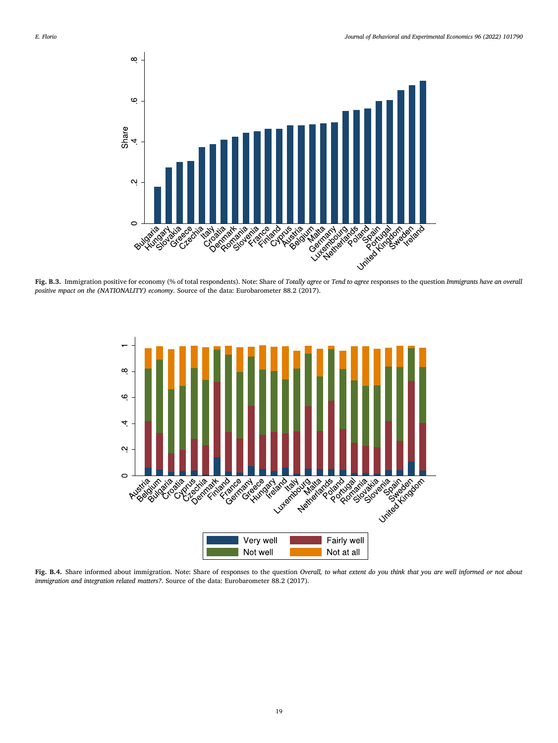<span id="page-18-0"></span>

**Fig. B.3.** Immigration positive for economy (% of total respondents). Note: Share of *Totally agree* or *Tend to agree* responses to the question *Immigrants have an overall positive mpact on the (NATIONALITY) economy*. Source of the data: Eurobarometer 88.2 (2017).



**Fig. B.4.** Share informed about immigration. Note: Share of responses to the question *Overall, to what extent do you think that you are well informed or not about immigration and integration related matters?*. Source of the data: Eurobarometer 88.2 (2017).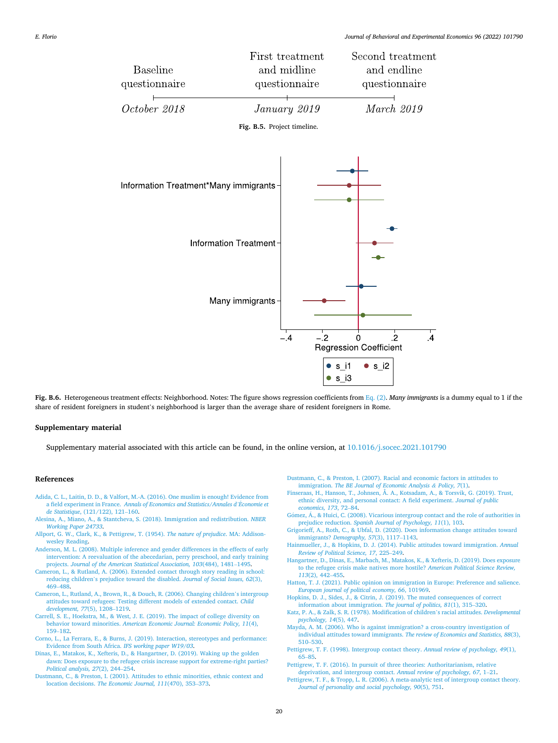<span id="page-19-0"></span>

**Fig. B.6.** Heterogeneous treatment effects: Neighborhood. Notes: The figure shows regression coefficients from [Eq. \(2\).](#page-8-0) *Many immigrants* is a dummy equal to 1 if the share of resident foreigners in student's neighborhood is larger than the average share of resident foreigners in Rome.

#### **Supplementary material**

Supplementary material associated with this article can be found, in the online version, at [10.1016/j.socec.2021.101790](https://doi.org/10.1016/j.socec.2021.101790) 

#### **References**

- [Adida, C. L., Laitin, D. D., & Valfort, M.-A. \(2016\). One muslim is enough! Evidence from](http://refhub.elsevier.com/S2214-8043(21)00130-0/sbref0001)  a field experiment in France. [Annals of Economics and Statistics/Annales d](http://refhub.elsevier.com/S2214-8043(21)00130-0/sbref0001)'Économie et *de Statistique*[, \(121/122\), 121](http://refhub.elsevier.com/S2214-8043(21)00130-0/sbref0001)–160.
- [Alesina, A., Miano, A., & Stantcheva, S. \(2018\). Immigration and redistribution.](http://refhub.elsevier.com/S2214-8043(21)00130-0/sbref0002) *NBER [Working Paper 24733](http://refhub.elsevier.com/S2214-8043(21)00130-0/sbref0002)*.
- [Allport, G. W., Clark, K., & Pettigrew, T. \(1954\).](http://refhub.elsevier.com/S2214-8043(21)00130-0/optjwpE9IPeaB) *The nature of prejudice*. MA: Addison[wesley Reading.](http://refhub.elsevier.com/S2214-8043(21)00130-0/optjwpE9IPeaB)
- [Anderson, M. L. \(2008\). Multiple inference and gender differences in the effects of early](http://refhub.elsevier.com/S2214-8043(21)00130-0/sbref0004)  [intervention: A reevaluation of the abecedarian, perry preschool, and early training](http://refhub.elsevier.com/S2214-8043(21)00130-0/sbref0004)  projects. *[Journal of the American Statistical Association, 103](http://refhub.elsevier.com/S2214-8043(21)00130-0/sbref0004)*(484), 1481–1495.
- [Cameron, L., & Rutland, A. \(2006\). Extended contact through story reading in school:](http://refhub.elsevier.com/S2214-8043(21)00130-0/sbref0005)  reducing children'[s prejudice toward the disabled.](http://refhub.elsevier.com/S2214-8043(21)00130-0/sbref0005) *Journal of Social Issues, 62*(3), 469–[488](http://refhub.elsevier.com/S2214-8043(21)00130-0/sbref0005).
- [Cameron, L., Rutland, A., Brown, R., & Douch, R. \(2006\). Changing children](http://refhub.elsevier.com/S2214-8043(21)00130-0/sbref0006)'s intergroup [attitudes toward refugees: Testing different models of extended contact.](http://refhub.elsevier.com/S2214-8043(21)00130-0/sbref0006) *Child [development, 77](http://refhub.elsevier.com/S2214-8043(21)00130-0/sbref0006)*(5), 1208–1219.
- [Carrell, S. E., Hoekstra, M., & West, J. E. \(2019\). The impact of college diversity on](http://refhub.elsevier.com/S2214-8043(21)00130-0/sbref0007) behavior toward minorities. *[American Economic Journal: Economic Policy, 11](http://refhub.elsevier.com/S2214-8043(21)00130-0/sbref0007)*(4), 159–[182](http://refhub.elsevier.com/S2214-8043(21)00130-0/sbref0007).
- [Corno, L., La Ferrara, E., & Burns, J. \(2019\). Interaction, stereotypes and performance:](http://refhub.elsevier.com/S2214-8043(21)00130-0/sbref0008)  [Evidence from South Africa.](http://refhub.elsevier.com/S2214-8043(21)00130-0/sbref0008) *IFS working paper W19/03*.
- [Dinas, E., Matakos, K., Xefteris, D., & Hangartner, D. \(2019\). Waking up the golden](http://refhub.elsevier.com/S2214-8043(21)00130-0/sbref0009)  [dawn: Does exposure to the refugee crisis increase support for extreme-right parties?](http://refhub.elsevier.com/S2214-8043(21)00130-0/sbref0009)  *[Political analysis, 27](http://refhub.elsevier.com/S2214-8043(21)00130-0/sbref0009)*(2), 244–254.
- [Dustmann, C., & Preston, I. \(2001\). Attitudes to ethnic minorities, ethnic context and](http://refhub.elsevier.com/S2214-8043(21)00130-0/sbref0010) location decisions. *[The Economic Journal, 111](http://refhub.elsevier.com/S2214-8043(21)00130-0/sbref0010)*(470), 353–373.
- [Dustmann, C., & Preston, I. \(2007\). Racial and economic factors in attitudes to](http://refhub.elsevier.com/S2214-8043(21)00130-0/sbref0011)  immigration. *[The BE Journal of Economic Analysis](http://refhub.elsevier.com/S2214-8043(21)00130-0/sbref0011) & Policy, 7*(1).
- [Finseraas, H., Hanson, T., Johnsen, Å. A., Kotsadam, A., & Torsvik, G. \(2019\). Trust,](http://refhub.elsevier.com/S2214-8043(21)00130-0/sbref0012)  [ethnic diversity, and personal contact: A field experiment.](http://refhub.elsevier.com/S2214-8043(21)00130-0/sbref0012) *Journal of public [economics, 173](http://refhub.elsevier.com/S2214-8043(21)00130-0/sbref0012)*, 72–84.
- Gómez, Á., & Huici, C. (2008). Vicarious intergroup contact and the role of authorities in prejudice reduction. *[Spanish Journal of Psychology, 11](http://refhub.elsevier.com/S2214-8043(21)00130-0/sbref0013)*(1), 103.
- [Grigorieff, A., Roth, C., & Ubfal, D. \(2020\). Does information change attitudes toward](http://refhub.elsevier.com/S2214-8043(21)00130-0/sbref0014)
- immigrants? *[Demography, 57](http://refhub.elsevier.com/S2214-8043(21)00130-0/sbref0014)*(3), 1117–1143. [Hainmueller, J., & Hopkins, D. J. \(2014\). Public attitudes toward immigration.](http://refhub.elsevier.com/S2214-8043(21)00130-0/sbref0015) *Annual [Review of Political Science, 17](http://refhub.elsevier.com/S2214-8043(21)00130-0/sbref0015)*, 225–249.
- [Hangartner, D., Dinas, E., Marbach, M., Matakos, K., & Xefteris, D. \(2019\). Does exposure](http://refhub.elsevier.com/S2214-8043(21)00130-0/sbref0016)  [to the refugee crisis make natives more hostile?](http://refhub.elsevier.com/S2214-8043(21)00130-0/sbref0016) *American Political Science Review, 113*[\(2\), 442](http://refhub.elsevier.com/S2214-8043(21)00130-0/sbref0016)–455.
- [Hatton, T. J. \(2021\). Public opinion on immigration in Europe: Preference and salience.](http://refhub.elsevier.com/S2214-8043(21)00130-0/sbref0017)  *[European journal of political economy, 66](http://refhub.elsevier.com/S2214-8043(21)00130-0/sbref0017)*, 101969.
- [Hopkins, D. J., Sides, J., & Citrin, J. \(2019\). The muted consequences of correct](http://refhub.elsevier.com/S2214-8043(21)00130-0/sbref0018) [information about immigration.](http://refhub.elsevier.com/S2214-8043(21)00130-0/sbref0018) *The journal of politics, 81*(1), 315–320.
- [Katz, P. A., & Zalk, S. R. \(1978\). Modification of children](http://refhub.elsevier.com/S2214-8043(21)00130-0/sbref0019)'s racial attitudes. *Developmental [psychology, 14](http://refhub.elsevier.com/S2214-8043(21)00130-0/sbref0019)*(5), 447.
- [Mayda, A. M. \(2006\). Who is against immigration? a cross-country investigation of](http://refhub.elsevier.com/S2214-8043(21)00130-0/sbref0020)  [individual attitudes toward immigrants.](http://refhub.elsevier.com/S2214-8043(21)00130-0/sbref0020) *The review of Economics and Statistics, 88*(3), 510–[530](http://refhub.elsevier.com/S2214-8043(21)00130-0/sbref0020).
- [Pettigrew, T. F. \(1998\). Intergroup contact theory.](http://refhub.elsevier.com/S2214-8043(21)00130-0/sbref0021) *Annual review of psychology, 49*(1), 65–[85](http://refhub.elsevier.com/S2214-8043(21)00130-0/sbref0021).
- [Pettigrew, T. F. \(2016\). In pursuit of three theories: Authoritarianism, relative](http://refhub.elsevier.com/S2214-8043(21)00130-0/sbref0022)  [deprivation, and intergroup contact.](http://refhub.elsevier.com/S2214-8043(21)00130-0/sbref0022) *Annual review of psychology, 67*, 1–21.
- [Pettigrew, T. F., & Tropp, L. R. \(2006\). A meta-analytic test of intergroup contact theory.](http://refhub.elsevier.com/S2214-8043(21)00130-0/sbref0023)  *[Journal of personality and social psychology, 90](http://refhub.elsevier.com/S2214-8043(21)00130-0/sbref0023)*(5), 751.